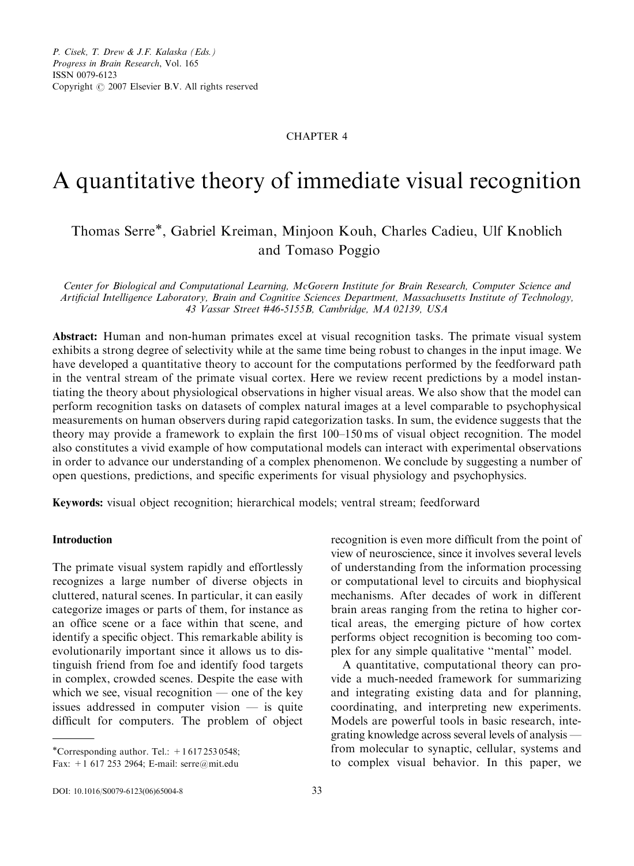## CHAPTER 4

# A quantitative theory of immediate visual recognition

## Thomas Serre, Gabriel Kreiman, Minjoon Kouh, Charles Cadieu, Ulf Knoblich and Tomaso Poggio

Center for Biological and Computational Learning, McGovern Institute for Brain Research, Computer Science and Artificial Intelligence Laboratory, Brain and Cognitive Sciences Department, Massachusetts Institute of Technology, 43 Vassar Street #46-5155B, Cambridge, MA 02139, USA

Abstract: Human and non-human primates excel at visual recognition tasks. The primate visual system exhibits a strong degree of selectivity while at the same time being robust to changes in the input image. We have developed a quantitative theory to account for the computations performed by the feedforward path in the ventral stream of the primate visual cortex. Here we review recent predictions by a model instantiating the theory about physiological observations in higher visual areas. We also show that the model can perform recognition tasks on datasets of complex natural images at a level comparable to psychophysical measurements on human observers during rapid categorization tasks. In sum, the evidence suggests that the theory may provide a framework to explain the first 100–150 ms of visual object recognition. The model also constitutes a vivid example of how computational models can interact with experimental observations in order to advance our understanding of a complex phenomenon. We conclude by suggesting a number of open questions, predictions, and specific experiments for visual physiology and psychophysics.

Keywords: visual object recognition; hierarchical models; ventral stream; feedforward

## Introduction

The primate visual system rapidly and effortlessly recognizes a large number of diverse objects in cluttered, natural scenes. In particular, it can easily categorize images or parts of them, for instance as an office scene or a face within that scene, and identify a specific object. This remarkable ability is evolutionarily important since it allows us to distinguish friend from foe and identify food targets in complex, crowded scenes. Despite the ease with which we see, visual recognition — one of the key issues addressed in computer vision — is quite difficult for computers. The problem of object

\*Corresponding author. Tel.:  $+16172530548$ ;

Fax: +1 617 253 2964; E-mail: [serre@mit.edu](mailto:serre@mit.edu)

recognition is even more difficult from the point of view of neuroscience, since it involves several levels of understanding from the information processing or computational level to circuits and biophysical mechanisms. After decades of work in different brain areas ranging from the retina to higher cortical areas, the emerging picture of how cortex performs object recognition is becoming too complex for any simple qualitative ''mental'' model.

A quantitative, computational theory can provide a much-needed framework for summarizing and integrating existing data and for planning, coordinating, and interpreting new experiments. Models are powerful tools in basic research, integrating knowledge across several levels of analysis from molecular to synaptic, cellular, systems and to complex visual behavior. In this paper, we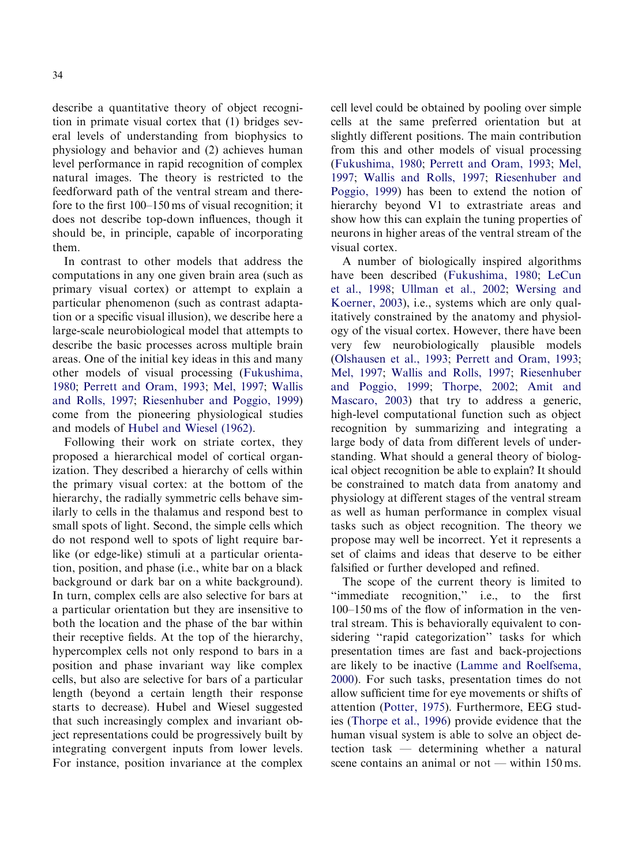describe a quantitative theory of object recognition in primate visual cortex that (1) bridges several levels of understanding from biophysics to physiology and behavior and (2) achieves human level performance in rapid recognition of complex natural images. The theory is restricted to the feedforward path of the ventral stream and therefore to the first 100–150 ms of visual recognition; it does not describe top-down influences, though it should be, in principle, capable of incorporating them.

In contrast to other models that address the computations in any one given brain area (such as primary visual cortex) or attempt to explain a particular phenomenon (such as contrast adaptation or a specific visual illusion), we describe here a large-scale neurobiological model that attempts to describe the basic processes across multiple brain areas. One of the initial key ideas in this and many other models of visual processing ([Fukushima,](#page-22-0) [1980;](#page-22-0) [Perrett and Oram, 1993](#page-23-0); [Mel, 1997;](#page-22-0) [Wallis](#page-23-0) [and Rolls, 1997;](#page-23-0) [Riesenhuber and Poggio, 1999\)](#page-23-0) come from the pioneering physiological studies and models of [Hubel and Wiesel \(1962\).](#page-22-0)

Following their work on striate cortex, they proposed a hierarchical model of cortical organization. They described a hierarchy of cells within the primary visual cortex: at the bottom of the hierarchy, the radially symmetric cells behave similarly to cells in the thalamus and respond best to small spots of light. Second, the simple cells which do not respond well to spots of light require barlike (or edge-like) stimuli at a particular orientation, position, and phase (i.e., white bar on a black background or dark bar on a white background). In turn, complex cells are also selective for bars at a particular orientation but they are insensitive to both the location and the phase of the bar within their receptive fields. At the top of the hierarchy, hypercomplex cells not only respond to bars in a position and phase invariant way like complex cells, but also are selective for bars of a particular length (beyond a certain length their response starts to decrease). Hubel and Wiesel suggested that such increasingly complex and invariant object representations could be progressively built by integrating convergent inputs from lower levels. For instance, position invariance at the complex cell level could be obtained by pooling over simple cells at the same preferred orientation but at slightly different positions. The main contribution from this and other models of visual processing [\(Fukushima, 1980](#page-22-0); [Perrett and Oram, 1993](#page-23-0); [Mel,](#page-22-0) [1997](#page-22-0); [Wallis and Rolls, 1997](#page-23-0); [Riesenhuber and](#page-23-0) [Poggio, 1999](#page-23-0)) has been to extend the notion of hierarchy beyond V1 to extrastriate areas and show how this can explain the tuning properties of neurons in higher areas of the ventral stream of the visual cortex.

A number of biologically inspired algorithms have been described ([Fukushima, 1980;](#page-22-0) [LeCun](#page-22-0) [et al., 1998](#page-22-0); [Ullman et al., 2002](#page-23-0); [Wersing and](#page-23-0) [Koerner, 2003\)](#page-23-0), i.e., systems which are only qualitatively constrained by the anatomy and physiology of the visual cortex. However, there have been very few neurobiologically plausible models [\(Olshausen et al., 1993;](#page-23-0) [Perrett and Oram, 1993;](#page-23-0) [Mel, 1997;](#page-22-0) [Wallis and Rolls, 1997;](#page-23-0) [Riesenhuber](#page-23-0) [and Poggio, 1999;](#page-23-0) [Thorpe, 2002](#page-23-0); [Amit and](#page-21-0) [Mascaro, 2003](#page-21-0)) that try to address a generic, high-level computational function such as object recognition by summarizing and integrating a large body of data from different levels of understanding. What should a general theory of biological object recognition be able to explain? It should be constrained to match data from anatomy and physiology at different stages of the ventral stream as well as human performance in complex visual tasks such as object recognition. The theory we propose may well be incorrect. Yet it represents a set of claims and ideas that deserve to be either falsified or further developed and refined.

The scope of the current theory is limited to ''immediate recognition,'' i.e., to the first 100–150 ms of the flow of information in the ventral stream. This is behaviorally equivalent to considering "rapid categorization" tasks for which presentation times are fast and back-projections are likely to be inactive [\(Lamme and Roelfsema,](#page-22-0) [2000](#page-22-0)). For such tasks, presentation times do not allow sufficient time for eye movements or shifts of attention [\(Potter, 1975](#page-23-0)). Furthermore, EEG studies ([Thorpe et al., 1996\)](#page-23-0) provide evidence that the human visual system is able to solve an object detection task — determining whether a natural scene contains an animal or not — within 150 ms.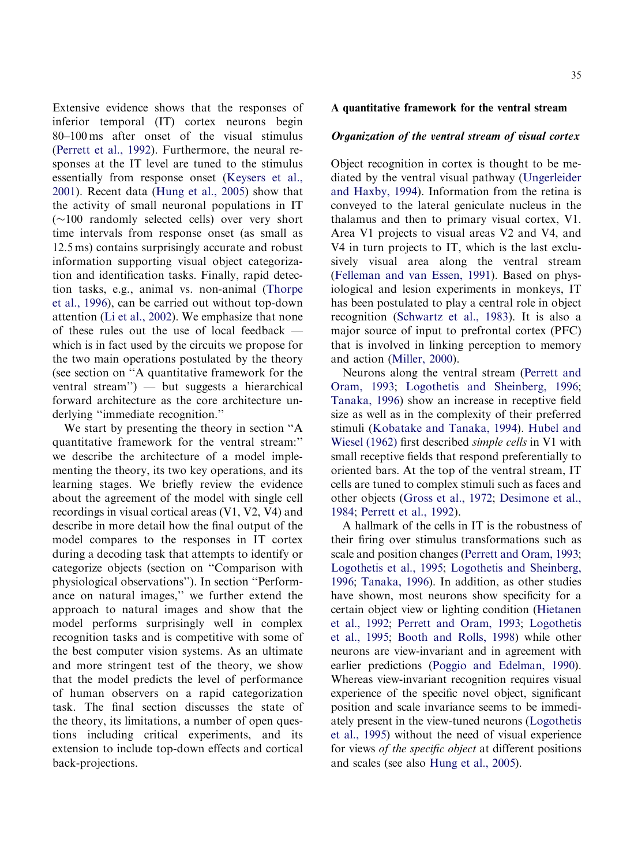Extensive evidence shows that the responses of inferior temporal (IT) cortex neurons begin 80–100 ms after onset of the visual stimulus [\(Perrett et al., 1992\)](#page-23-0). Furthermore, the neural responses at the IT level are tuned to the stimulus essentially from response onset ([Keysers et al.,](#page-22-0) [2001\)](#page-22-0). Recent data ([Hung et al., 2005](#page-22-0)) show that the activity of small neuronal populations in IT  $(\sim 100$  randomly selected cells) over very short time intervals from response onset (as small as 12.5 ms) contains surprisingly accurate and robust information supporting visual object categorization and identification tasks. Finally, rapid detection tasks, e.g., animal vs. non-animal ([Thorpe](#page-23-0) [et al., 1996](#page-23-0)), can be carried out without top-down attention ([Li et al., 2002](#page-22-0)). We emphasize that none of these rules out the use of local feedback which is in fact used by the circuits we propose for the two main operations postulated by the theory (see section on ''A quantitative framework for the ventral stream'') — but suggests a hierarchical forward architecture as the core architecture underlying ''immediate recognition.''

We start by presenting the theory in section ''A quantitative framework for the ventral stream:'' we describe the architecture of a model implementing the theory, its two key operations, and its learning stages. We briefly review the evidence about the agreement of the model with single cell recordings in visual cortical areas (V1, V2, V4) and describe in more detail how the final output of the model compares to the responses in IT cortex during a decoding task that attempts to identify or categorize objects (section on ''Comparison with physiological observations''). In section ''Performance on natural images,'' we further extend the approach to natural images and show that the model performs surprisingly well in complex recognition tasks and is competitive with some of the best computer vision systems. As an ultimate and more stringent test of the theory, we show that the model predicts the level of performance of human observers on a rapid categorization task. The final section discusses the state of the theory, its limitations, a number of open questions including critical experiments, and its extension to include top-down effects and cortical back-projections.

#### A quantitative framework for the ventral stream

#### Organization of the ventral stream of visual cortex

Object recognition in cortex is thought to be mediated by the ventral visual pathway ([Ungerleider](#page-23-0) [and Haxby, 1994](#page-23-0)). Information from the retina is conveyed to the lateral geniculate nucleus in the thalamus and then to primary visual cortex, V1. Area V1 projects to visual areas V2 and V4, and V4 in turn projects to IT, which is the last exclusively visual area along the ventral stream [\(Felleman and van Essen, 1991\)](#page-22-0). Based on physiological and lesion experiments in monkeys, IT has been postulated to play a central role in object recognition ([Schwartz et al., 1983\)](#page-23-0). It is also a major source of input to prefrontal cortex (PFC) that is involved in linking perception to memory and action [\(Miller, 2000\)](#page-22-0).

Neurons along the ventral stream ([Perrett and](#page-23-0) [Oram, 1993;](#page-23-0) [Logothetis and Sheinberg, 1996;](#page-22-0) [Tanaka, 1996](#page-23-0)) show an increase in receptive field size as well as in the complexity of their preferred stimuli ([Kobatake and Tanaka, 1994](#page-22-0)). [Hubel and](#page-22-0) [Wiesel \(1962\)](#page-22-0) first described simple cells in V1 with small receptive fields that respond preferentially to oriented bars. At the top of the ventral stream, IT cells are tuned to complex stimuli such as faces and other objects [\(Gross et al., 1972;](#page-22-0) [Desimone et al.,](#page-22-0) [1984](#page-22-0); [Perrett et al., 1992\)](#page-23-0).

A hallmark of the cells in IT is the robustness of their firing over stimulus transformations such as scale and position changes ([Perrett and Oram, 1993;](#page-23-0) [Logothetis et al., 1995](#page-22-0); [Logothetis and Sheinberg,](#page-22-0) [1996;](#page-22-0) [Tanaka, 1996](#page-23-0)). In addition, as other studies have shown, most neurons show specificity for a certain object view or lighting condition [\(Hietanen](#page-22-0) [et al., 1992;](#page-22-0) [Perrett and Oram, 1993;](#page-23-0) [Logothetis](#page-22-0) [et al., 1995;](#page-22-0) [Booth and Rolls, 1998](#page-22-0)) while other neurons are view-invariant and in agreement with earlier predictions [\(Poggio and Edelman, 1990](#page-23-0)). Whereas view-invariant recognition requires visual experience of the specific novel object, significant position and scale invariance seems to be immediately present in the view-tuned neurons [\(Logothetis](#page-22-0) [et al., 1995\)](#page-22-0) without the need of visual experience for views of the specific object at different positions and scales (see also [Hung et al., 2005](#page-22-0)).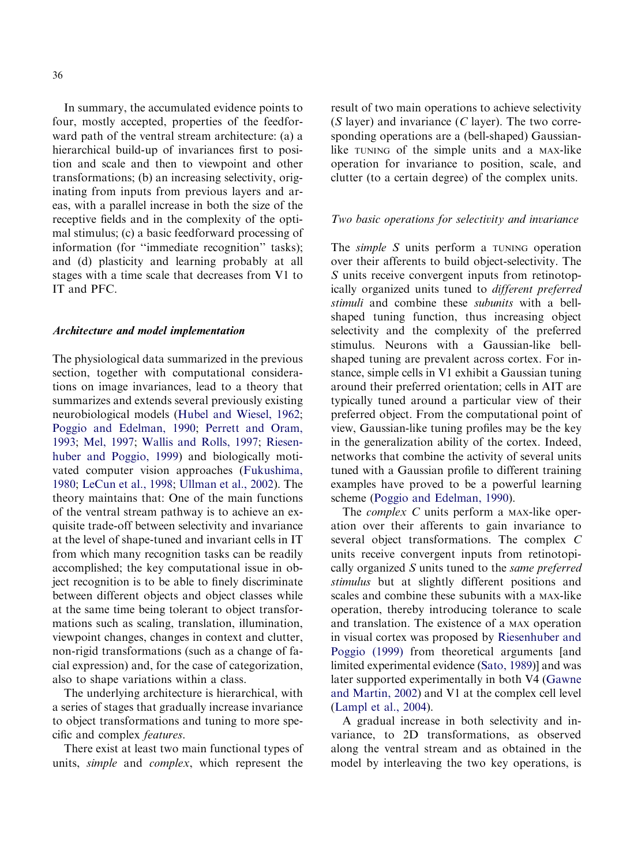In summary, the accumulated evidence points to four, mostly accepted, properties of the feedforward path of the ventral stream architecture: (a) a hierarchical build-up of invariances first to position and scale and then to viewpoint and other transformations; (b) an increasing selectivity, originating from inputs from previous layers and areas, with a parallel increase in both the size of the receptive fields and in the complexity of the optimal stimulus; (c) a basic feedforward processing of information (for ''immediate recognition'' tasks); and (d) plasticity and learning probably at all stages with a time scale that decreases from V1 to IT and PFC.

#### Architecture and model implementation

The physiological data summarized in the previous section, together with computational considerations on image invariances, lead to a theory that summarizes and extends several previously existing neurobiological models ([Hubel and Wiesel, 1962](#page-22-0); [Poggio and Edelman, 1990](#page-23-0); [Perrett and Oram,](#page-23-0) [1993;](#page-23-0) [Mel, 1997](#page-22-0); [Wallis and Rolls, 1997;](#page-23-0) [Riesen](#page-23-0)[huber and Poggio, 1999](#page-23-0)) and biologically motivated computer vision approaches ([Fukushima,](#page-22-0) [1980;](#page-22-0) [LeCun et al., 1998](#page-22-0); [Ullman et al., 2002\)](#page-23-0). The theory maintains that: One of the main functions of the ventral stream pathway is to achieve an exquisite trade-off between selectivity and invariance at the level of shape-tuned and invariant cells in IT from which many recognition tasks can be readily accomplished; the key computational issue in object recognition is to be able to finely discriminate between different objects and object classes while at the same time being tolerant to object transformations such as scaling, translation, illumination, viewpoint changes, changes in context and clutter, non-rigid transformations (such as a change of facial expression) and, for the case of categorization, also to shape variations within a class.

The underlying architecture is hierarchical, with a series of stages that gradually increase invariance to object transformations and tuning to more specific and complex features.

There exist at least two main functional types of units, simple and complex, which represent the result of two main operations to achieve selectivity  $(S \text{ layer})$  and invariance  $(C \text{ layer})$ . The two corresponding operations are a (bell-shaped) Gaussianlike TUNING of the simple units and a MAX-like operation for invariance to position, scale, and clutter (to a certain degree) of the complex units.

#### Two basic operations for selectivity and invariance

The *simple S* units perform a TUNING operation over their afferents to build object-selectivity. The S units receive convergent inputs from retinotopically organized units tuned to different preferred stimuli and combine these subunits with a bellshaped tuning function, thus increasing object selectivity and the complexity of the preferred stimulus. Neurons with a Gaussian-like bellshaped tuning are prevalent across cortex. For instance, simple cells in V1 exhibit a Gaussian tuning around their preferred orientation; cells in AIT are typically tuned around a particular view of their preferred object. From the computational point of view, Gaussian-like tuning profiles may be the key in the generalization ability of the cortex. Indeed, networks that combine the activity of several units tuned with a Gaussian profile to different training examples have proved to be a powerful learning scheme [\(Poggio and Edelman, 1990\)](#page-23-0).

The *complex C* units perform a MAX-like operation over their afferents to gain invariance to several object transformations. The complex C units receive convergent inputs from retinotopically organized S units tuned to the same preferred stimulus but at slightly different positions and scales and combine these subunits with a MAX-like operation, thereby introducing tolerance to scale and translation. The existence of a MAX operation in visual cortex was proposed by [Riesenhuber and](#page-23-0) [Poggio \(1999\)](#page-23-0) from theoretical arguments [and limited experimental evidence [\(Sato, 1989\)](#page-23-0)] and was later supported experimentally in both V4 ([Gawne](#page-22-0) [and Martin, 2002](#page-22-0)) and V1 at the complex cell level [\(Lampl et al., 2004](#page-22-0)).

A gradual increase in both selectivity and invariance, to 2D transformations, as observed along the ventral stream and as obtained in the model by interleaving the two key operations, is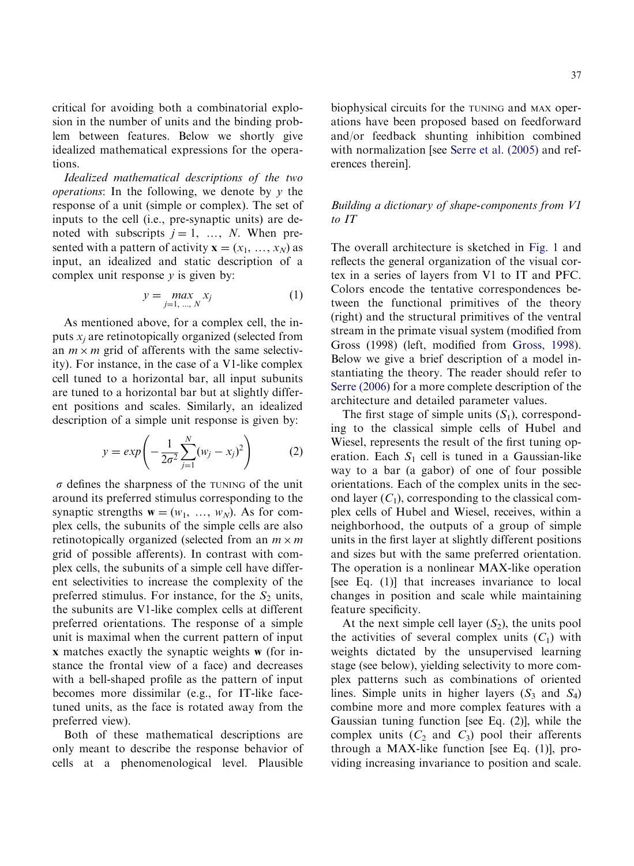critical for avoiding both a combinatorial explosion in the number of units and the binding problem between features. Below we shortly give idealized mathematical expressions for the operations.

Idealized mathematical descriptions of the two *operations*: In the following, we denote by  $\nu$  the response of a unit (simple or complex). The set of inputs to the cell (i.e., pre-synaptic units) are denoted with subscripts  $j = 1, \ldots, N$ . When presented with a pattern of activity  $\mathbf{x} = (x_1, \dots, x_N)$  as input, an idealized and static description of a complex unit response  $\nu$  is given by:

$$
y = \max_{j=1, ..., N} x_j
$$
 (1)

As mentioned above, for a complex cell, the inputs  $x_i$  are retinotopically organized (selected from an  $m \times m$  grid of afferents with the same selectivity). For instance, in the case of a V1-like complex cell tuned to a horizontal bar, all input subunits are tuned to a horizontal bar but at slightly different positions and scales. Similarly, an idealized description of a simple unit response is given by:

$$
y = exp\left(-\frac{1}{2\sigma^2} \sum_{j=1}^{N} (w_j - x_j)^2\right)
$$
 (2)

 $\sigma$  defines the sharpness of the TUNING of the unit around its preferred stimulus corresponding to the synaptic strengths  $\mathbf{w} = (w_1, \dots, w_N)$ . As for complex cells, the subunits of the simple cells are also retinotopically organized (selected from an  $m \times m$ grid of possible afferents). In contrast with complex cells, the subunits of a simple cell have different selectivities to increase the complexity of the preferred stimulus. For instance, for the  $S_2$  units, the subunits are V1-like complex cells at different preferred orientations. The response of a simple unit is maximal when the current pattern of input x matches exactly the synaptic weights w (for instance the frontal view of a face) and decreases with a bell-shaped profile as the pattern of input becomes more dissimilar (e.g., for IT-like facetuned units, as the face is rotated away from the preferred view).

Both of these mathematical descriptions are only meant to describe the response behavior of cells at a phenomenological level. Plausible biophysical circuits for the TUNING and MAX operations have been proposed based on feedforward and/or feedback shunting inhibition combined with normalization [see [Serre et al. \(2005\)](#page-23-0) and references therein].

## Building a dictionary of shape-components from V1 to IT

The overall architecture is sketched in [Fig. 1](#page-5-0) and reflects the general organization of the visual cortex in a series of layers from V1 to IT and PFC. Colors encode the tentative correspondences between the functional primitives of the theory (right) and the structural primitives of the ventral stream in the primate visual system (modified from Gross (1998) (left, modified from [Gross, 1998](#page-22-0)). Below we give a brief description of a model instantiating the theory. The reader should refer to [Serre \(2006\)](#page-23-0) for a more complete description of the architecture and detailed parameter values.

The first stage of simple units  $(S_1)$ , corresponding to the classical simple cells of Hubel and Wiesel, represents the result of the first tuning operation. Each  $S_1$  cell is tuned in a Gaussian-like way to a bar (a gabor) of one of four possible orientations. Each of the complex units in the second layer  $(C_1)$ , corresponding to the classical complex cells of Hubel and Wiesel, receives, within a neighborhood, the outputs of a group of simple units in the first layer at slightly different positions and sizes but with the same preferred orientation. The operation is a nonlinear MAX-like operation [see Eq. (1)] that increases invariance to local changes in position and scale while maintaining feature specificity.

At the next simple cell layer  $(S_2)$ , the units pool the activities of several complex units  $(C_1)$  with weights dictated by the unsupervised learning stage (see below), yielding selectivity to more complex patterns such as combinations of oriented lines. Simple units in higher layers  $(S_3 \text{ and } S_4)$ combine more and more complex features with a Gaussian tuning function [see Eq. (2)], while the complex units  $(C_2 \text{ and } C_3)$  pool their afferents through a MAX-like function [see Eq. (1)], providing increasing invariance to position and scale.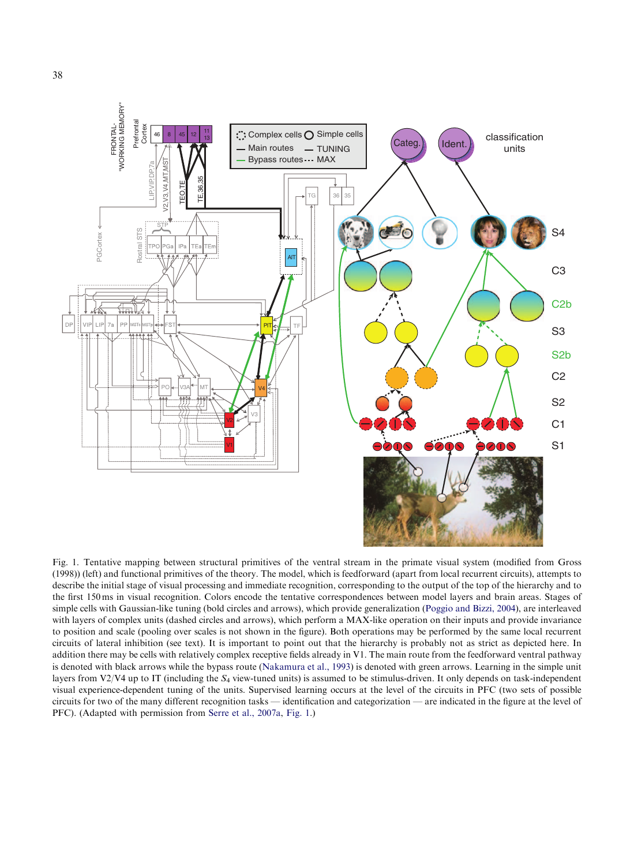<span id="page-5-0"></span>

Fig. 1. Tentative mapping between structural primitives of the ventral stream in the primate visual system (modified from Gross (1998)) (left) and functional primitives of the theory. The model, which is feedforward (apart from local recurrent circuits), attempts to describe the initial stage of visual processing and immediate recognition, corresponding to the output of the top of the hierarchy and to the first 150 ms in visual recognition. Colors encode the tentative correspondences between model layers and brain areas. Stages of simple cells with Gaussian-like tuning (bold circles and arrows), which provide generalization [\(Poggio and Bizzi, 2004\)](#page-23-0), are interleaved with layers of complex units (dashed circles and arrows), which perform a MAX-like operation on their inputs and provide invariance to position and scale (pooling over scales is not shown in the figure). Both operations may be performed by the same local recurrent circuits of lateral inhibition (see text). It is important to point out that the hierarchy is probably not as strict as depicted here. In addition there may be cells with relatively complex receptive fields already in V1. The main route from the feedforward ventral pathway is denoted with black arrows while the bypass route [\(Nakamura et al., 1993\)](#page-23-0) is denoted with green arrows. Learning in the simple unit layers from V2/V4 up to IT (including the  $S_4$  view-tuned units) is assumed to be stimulus-driven. It only depends on task-independent visual experience-dependent tuning of the units. Supervised learning occurs at the level of the circuits in PFC (two sets of possible circuits for two of the many different recognition tasks — identification and categorization — are indicated in the figure at the level of PFC). (Adapted with permission from [Serre et al., 2007a](#page-23-0), Fig. 1.)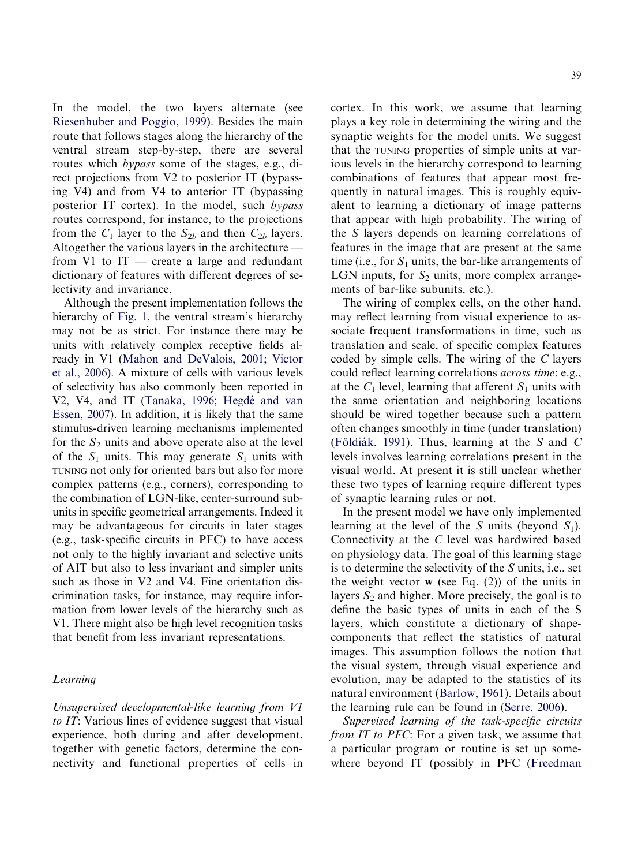In the model, the two layers alternate (see [Riesenhuber and Poggio, 1999](#page-23-0)). Besides the main route that follows stages along the hierarchy of the ventral stream step-by-step, there are several routes which bypass some of the stages, e.g., direct projections from V2 to posterior IT (bypassing V4) and from V4 to anterior IT (bypassing posterior IT cortex). In the model, such bypass routes correspond, for instance, to the projections from the  $C_1$  layer to the  $S_{2b}$  and then  $C_{2b}$  layers. Altogether the various layers in the architecture from V1 to  $IT$  — create a large and redundant dictionary of features with different degrees of selectivity and invariance.

Although the present implementation follows the hierarchy of [Fig. 1](#page-5-0), the ventral stream's hierarchy may not be as strict. For instance there may be units with relatively complex receptive fields already in V1 [\(Mahon and DeValois, 2001;](#page-22-0) [Victor](#page-23-0) [et al., 2006\)](#page-23-0). A mixture of cells with various levels of selectivity has also commonly been reported in V2, V4, and IT [\(Tanaka, 1996;](#page-23-0) Hegdé [and van](#page-22-0) [Essen, 2007](#page-22-0)). In addition, it is likely that the same stimulus-driven learning mechanisms implemented for the  $S_2$  units and above operate also at the level of the  $S_1$  units. This may generate  $S_1$  units with TUNING not only for oriented bars but also for more complex patterns (e.g., corners), corresponding to the combination of LGN-like, center-surround subunits in specific geometrical arrangements. Indeed it may be advantageous for circuits in later stages (e.g., task-specific circuits in PFC) to have access not only to the highly invariant and selective units of AIT but also to less invariant and simpler units such as those in V2 and V4. Fine orientation discrimination tasks, for instance, may require information from lower levels of the hierarchy such as V1. There might also be high level recognition tasks that benefit from less invariant representations.

## Learning

Unsupervised developmental-like learning from V1 to IT: Various lines of evidence suggest that visual experience, both during and after development, together with genetic factors, determine the connectivity and functional properties of cells in cortex. In this work, we assume that learning plays a key role in determining the wiring and the synaptic weights for the model units. We suggest that the TUNING properties of simple units at various levels in the hierarchy correspond to learning combinations of features that appear most frequently in natural images. This is roughly equivalent to learning a dictionary of image patterns that appear with high probability. The wiring of the S layers depends on learning correlations of features in the image that are present at the same time (i.e., for  $S_1$  units, the bar-like arrangements of LGN inputs, for  $S_2$  units, more complex arrangements of bar-like subunits, etc.).

The wiring of complex cells, on the other hand, may reflect learning from visual experience to associate frequent transformations in time, such as translation and scale, of specific complex features coded by simple cells. The wiring of the C layers could reflect learning correlations across time: e.g., at the  $C_1$  level, learning that afferent  $S_1$  units with the same orientation and neighboring locations should be wired together because such a pattern often changes smoothly in time (under translation) (Földiák, 1991). Thus, learning at the S and C levels involves learning correlations present in the visual world. At present it is still unclear whether these two types of learning require different types of synaptic learning rules or not.

In the present model we have only implemented learning at the level of the S units (beyond  $S_1$ ). Connectivity at the C level was hardwired based on physiology data. The goal of this learning stage is to determine the selectivity of the S units, i.e., set the weight vector  $\bf{w}$  (see Eq. (2)) of the units in layers  $S_2$  and higher. More precisely, the goal is to define the basic types of units in each of the S layers, which constitute a dictionary of shapecomponents that reflect the statistics of natural images. This assumption follows the notion that the visual system, through visual experience and evolution, may be adapted to the statistics of its natural environment [\(Barlow, 1961](#page-21-0)). Details about the learning rule can be found in [\(Serre, 2006](#page-23-0)).

Supervised learning of the task-specific circuits from IT to PFC: For a given task, we assume that a particular program or routine is set up somewhere beyond IT (possibly in PFC ([Freedman](#page-22-0)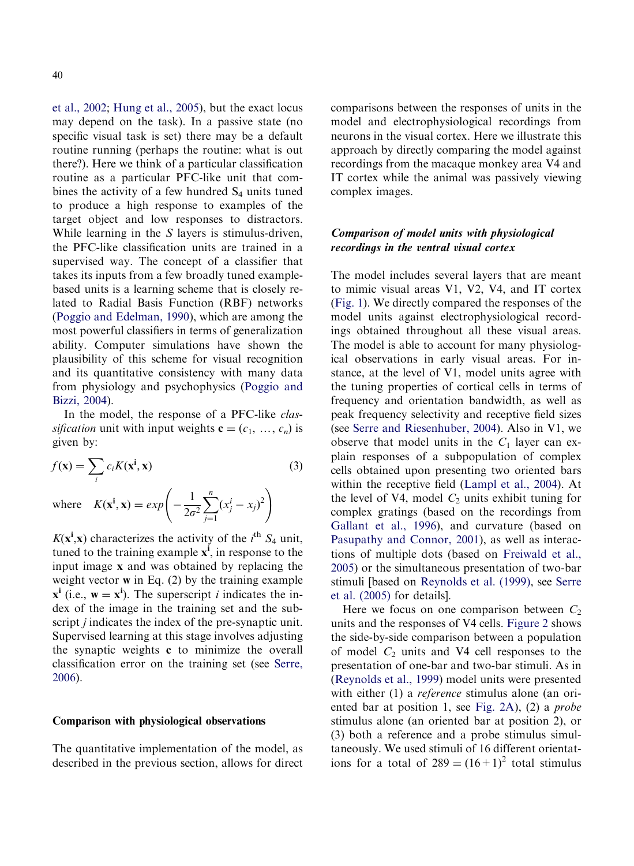[et al., 2002;](#page-22-0) [Hung et al., 2005\)](#page-22-0), but the exact locus may depend on the task). In a passive state (no specific visual task is set) there may be a default routine running (perhaps the routine: what is out there?). Here we think of a particular classification routine as a particular PFC-like unit that combines the activity of a few hundred  $S_4$  units tuned to produce a high response to examples of the target object and low responses to distractors. While learning in the S layers is stimulus-driven, the PFC-like classification units are trained in a supervised way. The concept of a classifier that takes its inputs from a few broadly tuned examplebased units is a learning scheme that is closely related to Radial Basis Function (RBF) networks [\(Poggio and Edelman, 1990\)](#page-23-0), which are among the most powerful classifiers in terms of generalization ability. Computer simulations have shown the plausibility of this scheme for visual recognition and its quantitative consistency with many data from physiology and psychophysics ([Poggio and](#page-23-0) [Bizzi, 2004\)](#page-23-0).

In the model, the response of a PFC-like *clas*sification unit with input weights  ${\bf c} = (c_1, \ldots, c_n)$  is given by:

$$
f(\mathbf{x}) = \sum_{i} c_i K(\mathbf{x}^i, \mathbf{x})
$$
  
where  $K(\mathbf{x}^i, \mathbf{x}) = exp\left(-\frac{1}{2\sigma^2} \sum_{j=1}^n (x_j^i - x_j)^2\right)$  (3)

 $K(\mathbf{x}^i, \mathbf{x})$  characterizes the activity of the  $i^{\text{th}} S_4$  unit, tuned to the training example  $x^i$ , in response to the input image x and was obtained by replacing the weight vector w in Eq. (2) by the training example  $x^i$  (i.e.,  $w = x^i$ ). The superscript *i* indicates the index of the image in the training set and the subscript *i* indicates the index of the pre-synaptic unit. Supervised learning at this stage involves adjusting the synaptic weights c to minimize the overall classification error on the training set (see [Serre,](#page-23-0) [2006\)](#page-23-0).

#### Comparison with physiological observations

The quantitative implementation of the model, as described in the previous section, allows for direct

comparisons between the responses of units in the model and electrophysiological recordings from neurons in the visual cortex. Here we illustrate this approach by directly comparing the model against recordings from the macaque monkey area V4 and IT cortex while the animal was passively viewing complex images.

## Comparison of model units with physiological recordings in the ventral visual cortex

The model includes several layers that are meant to mimic visual areas V1, V2, V4, and IT cortex [\(Fig. 1\)](#page-5-0). We directly compared the responses of the model units against electrophysiological recordings obtained throughout all these visual areas. The model is able to account for many physiological observations in early visual areas. For instance, at the level of V1, model units agree with the tuning properties of cortical cells in terms of frequency and orientation bandwidth, as well as peak frequency selectivity and receptive field sizes (see [Serre and Riesenhuber, 2004](#page-23-0)). Also in V1, we observe that model units in the  $C_1$  layer can explain responses of a subpopulation of complex cells obtained upon presenting two oriented bars within the receptive field [\(Lampl et al., 2004](#page-22-0)). At the level of V4, model  $C_2$  units exhibit tuning for complex gratings (based on the recordings from [Gallant et al., 1996\)](#page-22-0), and curvature (based on [Pasupathy and Connor, 2001\)](#page-23-0), as well as interactions of multiple dots (based on [Freiwald et al.,](#page-22-0) [2005](#page-22-0)) or the simultaneous presentation of two-bar stimuli [based on [Reynolds et al. \(1999\),](#page-23-0) see [Serre](#page-23-0) [et al. \(2005\)](#page-23-0) for details].

Here we focus on one comparison between  $C_2$ units and the responses of V4 cells. [Figure 2](#page-8-0) shows the side-by-side comparison between a population of model  $C_2$  units and V4 cell responses to the presentation of one-bar and two-bar stimuli. As in [\(Reynolds et al., 1999\)](#page-23-0) model units were presented with either (1) a *reference* stimulus alone (an oriented bar at position 1, see [Fig. 2A\)](#page-8-0), (2) a probe stimulus alone (an oriented bar at position 2), or (3) both a reference and a probe stimulus simultaneously. We used stimuli of 16 different orientations for a total of  $289 = (16+1)^2$  total stimulus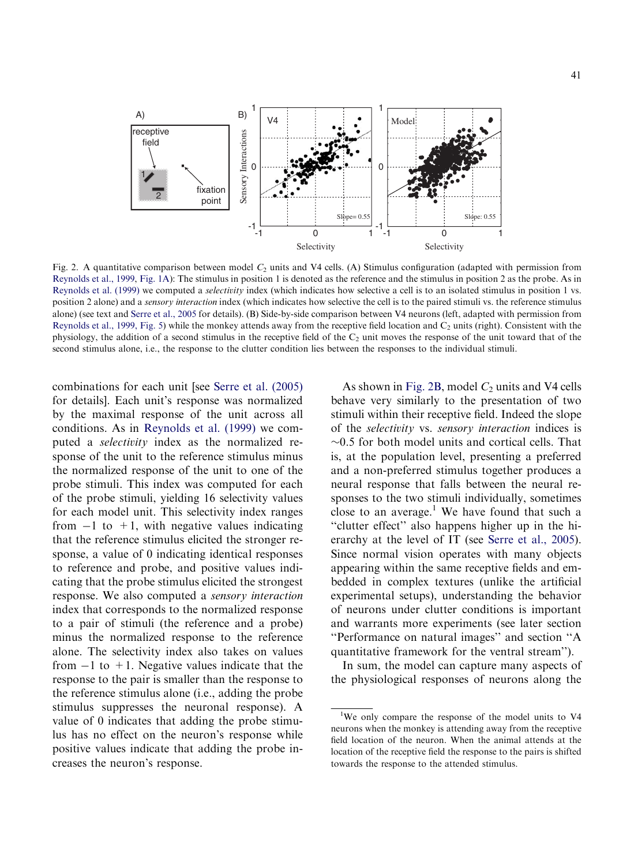<span id="page-8-0"></span>

Fig. 2. A quantitative comparison between model  $C_2$  units and V4 cells. (A) Stimulus configuration (adapted with permission from [Reynolds et al., 1999,](#page-23-0) [Fig. 1A\)](#page-5-0): The stimulus in position 1 is denoted as the reference and the stimulus in position 2 as the probe. As in [Reynolds et al. \(1999\)](#page-23-0) we computed a *selectivity* index (which indicates how selective a cell is to an isolated stimulus in position 1 vs. position 2 alone) and a *sensory interaction* index (which indicates how selective the cell is to the paired stimuli vs. the reference stimulus alone) (see text and [Serre et al., 2005](#page-23-0) for details). (B) Side-by-side comparison between V4 neurons (left, adapted with permission from [Reynolds et al., 1999, Fig. 5\)](#page-23-0) while the monkey attends away from the receptive field location and  $C_2$  units (right). Consistent with the physiology, the addition of a second stimulus in the receptive field of the  $C_2$  unit moves the response of the unit toward that of the second stimulus alone, i.e., the response to the clutter condition lies between the responses to the individual stimuli.

combinations for each unit [see [Serre et al. \(2005\)](#page-23-0) for details]. Each unit's response was normalized by the maximal response of the unit across all conditions. As in [Reynolds et al. \(1999\)](#page-23-0) we computed a selectivity index as the normalized response of the unit to the reference stimulus minus the normalized response of the unit to one of the probe stimuli. This index was computed for each of the probe stimuli, yielding 16 selectivity values for each model unit. This selectivity index ranges from  $-1$  to  $+1$ , with negative values indicating that the reference stimulus elicited the stronger response, a value of 0 indicating identical responses to reference and probe, and positive values indicating that the probe stimulus elicited the strongest response. We also computed a sensory interaction index that corresponds to the normalized response to a pair of stimuli (the reference and a probe) minus the normalized response to the reference alone. The selectivity index also takes on values from  $-1$  to  $+1$ . Negative values indicate that the response to the pair is smaller than the response to the reference stimulus alone (i.e., adding the probe stimulus suppresses the neuronal response). A value of 0 indicates that adding the probe stimulus has no effect on the neuron's response while positive values indicate that adding the probe increases the neuron's response.

As shown in Fig. 2B, model  $C_2$  units and V4 cells behave very similarly to the presentation of two stimuli within their receptive field. Indeed the slope of the selectivity vs. sensory interaction indices is  $\sim$ 0.5 for both model units and cortical cells. That is, at the population level, presenting a preferred and a non-preferred stimulus together produces a neural response that falls between the neural responses to the two stimuli individually, sometimes close to an average.<sup>1</sup> We have found that such a ''clutter effect'' also happens higher up in the hierarchy at the level of IT (see [Serre et al., 2005](#page-23-0)). Since normal vision operates with many objects appearing within the same receptive fields and embedded in complex textures (unlike the artificial experimental setups), understanding the behavior of neurons under clutter conditions is important and warrants more experiments (see later section ''Performance on natural images'' and section ''A quantitative framework for the ventral stream'').

In sum, the model can capture many aspects of the physiological responses of neurons along the

<sup>&</sup>lt;sup>1</sup>We only compare the response of the model units to V4 neurons when the monkey is attending away from the receptive field location of the neuron. When the animal attends at the location of the receptive field the response to the pairs is shifted towards the response to the attended stimulus.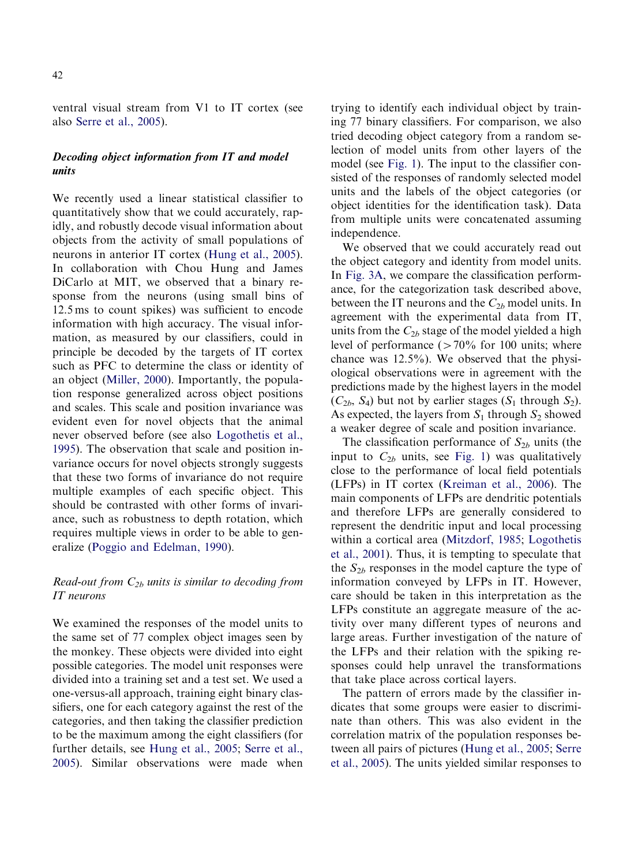ventral visual stream from V1 to IT cortex (see also [Serre et al., 2005\)](#page-23-0).

## Decoding object information from IT and model units

We recently used a linear statistical classifier to quantitatively show that we could accurately, rapidly, and robustly decode visual information about objects from the activity of small populations of neurons in anterior IT cortex ([Hung et al., 2005](#page-22-0)). In collaboration with Chou Hung and James DiCarlo at MIT, we observed that a binary response from the neurons (using small bins of 12.5 ms to count spikes) was sufficient to encode information with high accuracy. The visual information, as measured by our classifiers, could in principle be decoded by the targets of IT cortex such as PFC to determine the class or identity of an object [\(Miller, 2000](#page-22-0)). Importantly, the population response generalized across object positions and scales. This scale and position invariance was evident even for novel objects that the animal never observed before (see also [Logothetis et al.,](#page-22-0) [1995\)](#page-22-0). The observation that scale and position invariance occurs for novel objects strongly suggests that these two forms of invariance do not require multiple examples of each specific object. This should be contrasted with other forms of invariance, such as robustness to depth rotation, which requires multiple views in order to be able to generalize ([Poggio and Edelman, 1990](#page-23-0)).

## Read-out from  $C_{2b}$  units is similar to decoding from IT neurons

We examined the responses of the model units to the same set of 77 complex object images seen by the monkey. These objects were divided into eight possible categories. The model unit responses were divided into a training set and a test set. We used a one-versus-all approach, training eight binary classifiers, one for each category against the rest of the categories, and then taking the classifier prediction to be the maximum among the eight classifiers (for further details, see [Hung et al., 2005;](#page-22-0) [Serre et al.,](#page-23-0) [2005\)](#page-23-0). Similar observations were made when

trying to identify each individual object by training 77 binary classifiers. For comparison, we also tried decoding object category from a random selection of model units from other layers of the model (see [Fig. 1\)](#page-5-0). The input to the classifier consisted of the responses of randomly selected model units and the labels of the object categories (or object identities for the identification task). Data from multiple units were concatenated assuming independence.

We observed that we could accurately read out the object category and identity from model units. In [Fig. 3A,](#page-10-0) we compare the classification performance, for the categorization task described above, between the IT neurons and the  $C_{2b}$  model units. In agreement with the experimental data from IT, units from the  $C_{2b}$  stage of the model yielded a high level of performance  $(270\% \text{ for } 100 \text{ units}; \text{ where}$ chance was 12.5%). We observed that the physiological observations were in agreement with the predictions made by the highest layers in the model  $(C_{2b}, S_4)$  but not by earlier stages  $(S_1$  through  $S_2$ ). As expected, the layers from  $S_1$  through  $S_2$  showed a weaker degree of scale and position invariance.

The classification performance of  $S_{2b}$  units (the input to  $C_{2b}$  units, see [Fig. 1](#page-5-0)) was qualitatively close to the performance of local field potentials (LFPs) in IT cortex [\(Kreiman et al., 2006](#page-22-0)). The main components of LFPs are dendritic potentials and therefore LFPs are generally considered to represent the dendritic input and local processing within a cortical area ([Mitzdorf, 1985](#page-22-0); [Logothetis](#page-22-0) [et al., 2001](#page-22-0)). Thus, it is tempting to speculate that the  $S_{2b}$  responses in the model capture the type of information conveyed by LFPs in IT. However, care should be taken in this interpretation as the LFPs constitute an aggregate measure of the activity over many different types of neurons and large areas. Further investigation of the nature of the LFPs and their relation with the spiking responses could help unravel the transformations that take place across cortical layers.

The pattern of errors made by the classifier indicates that some groups were easier to discriminate than others. This was also evident in the correlation matrix of the population responses between all pairs of pictures [\(Hung et al., 2005;](#page-22-0) [Serre](#page-23-0) [et al., 2005](#page-23-0)). The units yielded similar responses to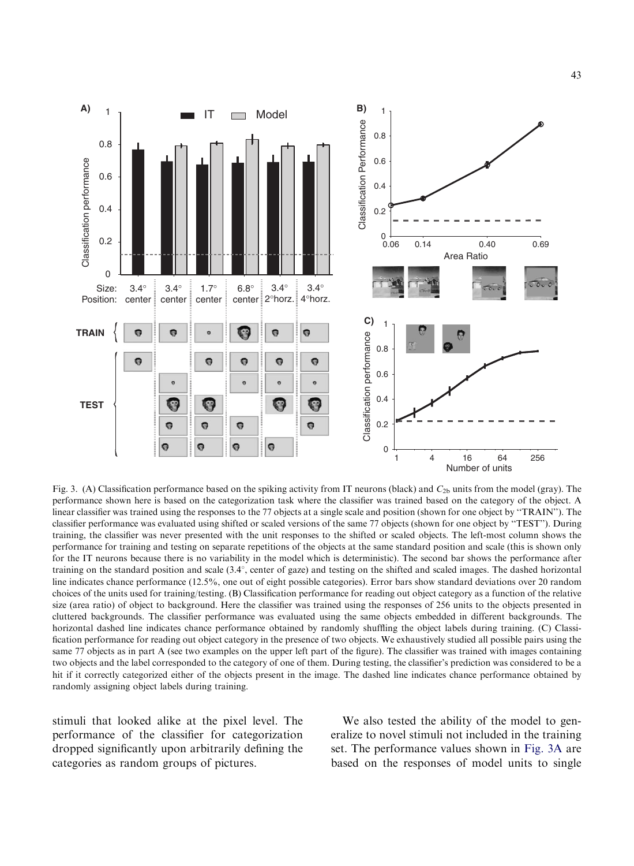<span id="page-10-0"></span>

Fig. 3. (A) Classification performance based on the spiking activity from IT neurons (black) and  $C_{2b}$  units from the model (gray). The performance shown here is based on the categorization task where the classifier was trained based on the category of the object. A linear classifier was trained using the responses to the 77 objects at a single scale and position (shown for one object by ''TRAIN''). The classifier performance was evaluated using shifted or scaled versions of the same 77 objects (shown for one object by ''TEST''). During training, the classifier was never presented with the unit responses to the shifted or scaled objects. The left-most column shows the performance for training and testing on separate repetitions of the objects at the same standard position and scale (this is shown only for the IT neurons because there is no variability in the model which is deterministic). The second bar shows the performance after training on the standard position and scale (3.4°, center of gaze) and testing on the shifted and scaled images. The dashed horizontal line indicates chance performance (12.5%, one out of eight possible categories). Error bars show standard deviations over 20 random choices of the units used for training/testing. (B) Classification performance for reading out object category as a function of the relative size (area ratio) of object to background. Here the classifier was trained using the responses of 256 units to the objects presented in cluttered backgrounds. The classifier performance was evaluated using the same objects embedded in different backgrounds. The horizontal dashed line indicates chance performance obtained by randomly shuffling the object labels during training. (C) Classification performance for reading out object category in the presence of two objects. We exhaustively studied all possible pairs using the same 77 objects as in part A (see two examples on the upper left part of the figure). The classifier was trained with images containing two objects and the label corresponded to the category of one of them. During testing, the classifier's prediction was considered to be a hit if it correctly categorized either of the objects present in the image. The dashed line indicates chance performance obtained by randomly assigning object labels during training.

stimuli that looked alike at the pixel level. The performance of the classifier for categorization dropped significantly upon arbitrarily defining the categories as random groups of pictures.

We also tested the ability of the model to generalize to novel stimuli not included in the training set. The performance values shown in Fig. 3A are based on the responses of model units to single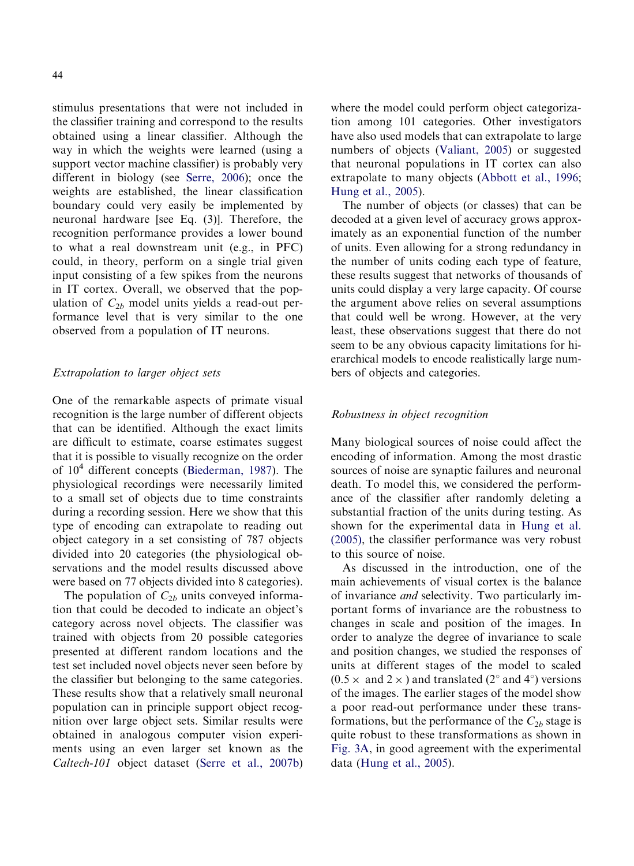stimulus presentations that were not included in the classifier training and correspond to the results obtained using a linear classifier. Although the way in which the weights were learned (using a support vector machine classifier) is probably very different in biology (see [Serre, 2006\)](#page-23-0); once the weights are established, the linear classification boundary could very easily be implemented by neuronal hardware [see Eq. (3)]. Therefore, the recognition performance provides a lower bound to what a real downstream unit (e.g., in PFC) could, in theory, perform on a single trial given input consisting of a few spikes from the neurons in IT cortex. Overall, we observed that the population of  $C_{2b}$  model units yields a read-out performance level that is very similar to the one observed from a population of IT neurons.

#### Extrapolation to larger object sets

One of the remarkable aspects of primate visual recognition is the large number of different objects that can be identified. Although the exact limits are difficult to estimate, coarse estimates suggest that it is possible to visually recognize on the order of 10<sup>4</sup> different concepts [\(Biederman, 1987](#page-21-0)). The physiological recordings were necessarily limited to a small set of objects due to time constraints during a recording session. Here we show that this type of encoding can extrapolate to reading out object category in a set consisting of 787 objects divided into 20 categories (the physiological observations and the model results discussed above were based on 77 objects divided into 8 categories).

The population of  $C_{2b}$  units conveyed information that could be decoded to indicate an object's category across novel objects. The classifier was trained with objects from 20 possible categories presented at different random locations and the test set included novel objects never seen before by the classifier but belonging to the same categories. These results show that a relatively small neuronal population can in principle support object recognition over large object sets. Similar results were obtained in analogous computer vision experiments using an even larger set known as the Caltech-101 object dataset ([Serre et al., 2007b\)](#page-23-0) where the model could perform object categorization among 101 categories. Other investigators have also used models that can extrapolate to large numbers of objects [\(Valiant, 2005](#page-23-0)) or suggested that neuronal populations in IT cortex can also extrapolate to many objects [\(Abbott et al., 1996;](#page-21-0) [Hung et al., 2005](#page-22-0)).

The number of objects (or classes) that can be decoded at a given level of accuracy grows approximately as an exponential function of the number of units. Even allowing for a strong redundancy in the number of units coding each type of feature, these results suggest that networks of thousands of units could display a very large capacity. Of course the argument above relies on several assumptions that could well be wrong. However, at the very least, these observations suggest that there do not seem to be any obvious capacity limitations for hierarchical models to encode realistically large numbers of objects and categories.

## Robustness in object recognition

Many biological sources of noise could affect the encoding of information. Among the most drastic sources of noise are synaptic failures and neuronal death. To model this, we considered the performance of the classifier after randomly deleting a substantial fraction of the units during testing. As shown for the experimental data in [Hung et al.](#page-22-0) [\(2005\),](#page-22-0) the classifier performance was very robust to this source of noise.

As discussed in the introduction, one of the main achievements of visual cortex is the balance of invariance and selectivity. Two particularly important forms of invariance are the robustness to changes in scale and position of the images. In order to analyze the degree of invariance to scale and position changes, we studied the responses of units at different stages of the model to scaled  $(0.5 \times$  and  $2 \times)$  and translated  $(2^{\circ}$  and  $4^{\circ})$  versions of the images. The earlier stages of the model show a poor read-out performance under these transformations, but the performance of the  $C_{2b}$  stage is quite robust to these transformations as shown in [Fig. 3A,](#page-10-0) in good agreement with the experimental data ([Hung et al., 2005](#page-22-0)).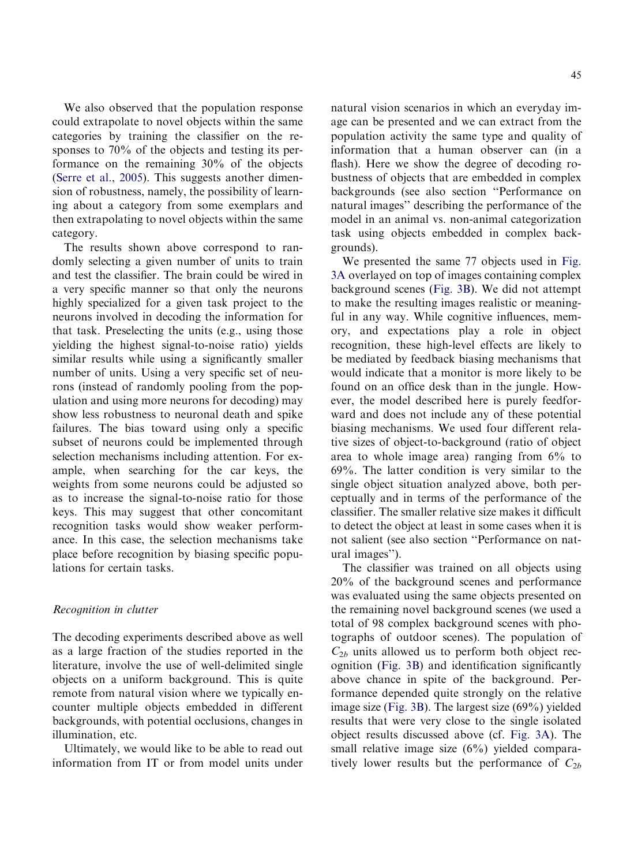We also observed that the population response could extrapolate to novel objects within the same categories by training the classifier on the responses to 70% of the objects and testing its performance on the remaining 30% of the objects [\(Serre et al., 2005\)](#page-23-0). This suggests another dimension of robustness, namely, the possibility of learning about a category from some exemplars and then extrapolating to novel objects within the same category.

The results shown above correspond to randomly selecting a given number of units to train and test the classifier. The brain could be wired in a very specific manner so that only the neurons highly specialized for a given task project to the neurons involved in decoding the information for that task. Preselecting the units (e.g., using those yielding the highest signal-to-noise ratio) yields similar results while using a significantly smaller number of units. Using a very specific set of neurons (instead of randomly pooling from the population and using more neurons for decoding) may show less robustness to neuronal death and spike failures. The bias toward using only a specific subset of neurons could be implemented through selection mechanisms including attention. For example, when searching for the car keys, the weights from some neurons could be adjusted so as to increase the signal-to-noise ratio for those keys. This may suggest that other concomitant recognition tasks would show weaker performance. In this case, the selection mechanisms take place before recognition by biasing specific populations for certain tasks.

## Recognition in clutter

The decoding experiments described above as well as a large fraction of the studies reported in the literature, involve the use of well-delimited single objects on a uniform background. This is quite remote from natural vision where we typically encounter multiple objects embedded in different backgrounds, with potential occlusions, changes in illumination, etc.

Ultimately, we would like to be able to read out information from IT or from model units under natural vision scenarios in which an everyday image can be presented and we can extract from the population activity the same type and quality of information that a human observer can (in a flash). Here we show the degree of decoding robustness of objects that are embedded in complex backgrounds (see also section ''Performance on natural images'' describing the performance of the model in an animal vs. non-animal categorization task using objects embedded in complex backgrounds).

We presented the same 77 objects used in [Fig.](#page-10-0) [3A](#page-10-0) overlayed on top of images containing complex background scenes ([Fig. 3B](#page-10-0)). We did not attempt to make the resulting images realistic or meaningful in any way. While cognitive influences, memory, and expectations play a role in object recognition, these high-level effects are likely to be mediated by feedback biasing mechanisms that would indicate that a monitor is more likely to be found on an office desk than in the jungle. However, the model described here is purely feedforward and does not include any of these potential biasing mechanisms. We used four different relative sizes of object-to-background (ratio of object area to whole image area) ranging from 6% to 69%. The latter condition is very similar to the single object situation analyzed above, both perceptually and in terms of the performance of the classifier. The smaller relative size makes it difficult to detect the object at least in some cases when it is not salient (see also section ''Performance on natural images'').

The classifier was trained on all objects using 20% of the background scenes and performance was evaluated using the same objects presented on the remaining novel background scenes (we used a total of 98 complex background scenes with photographs of outdoor scenes). The population of  $C_{2b}$  units allowed us to perform both object recognition [\(Fig. 3B](#page-10-0)) and identification significantly above chance in spite of the background. Performance depended quite strongly on the relative image size ([Fig. 3B](#page-10-0)). The largest size (69%) yielded results that were very close to the single isolated object results discussed above (cf. [Fig. 3A](#page-10-0)). The small relative image size (6%) yielded comparatively lower results but the performance of  $C_{2b}$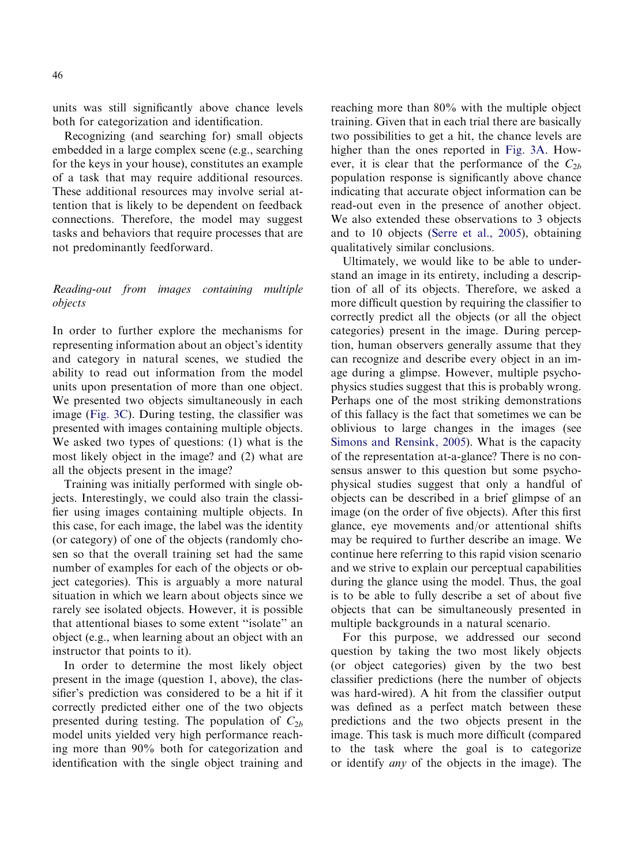units was still significantly above chance levels both for categorization and identification.

Recognizing (and searching for) small objects embedded in a large complex scene (e.g., searching for the keys in your house), constitutes an example of a task that may require additional resources. These additional resources may involve serial attention that is likely to be dependent on feedback connections. Therefore, the model may suggest tasks and behaviors that require processes that are not predominantly feedforward.

## Reading-out from images containing multiple objects

In order to further explore the mechanisms for representing information about an object's identity and category in natural scenes, we studied the ability to read out information from the model units upon presentation of more than one object. We presented two objects simultaneously in each image [\(Fig. 3C\)](#page-10-0). During testing, the classifier was presented with images containing multiple objects. We asked two types of questions: (1) what is the most likely object in the image? and (2) what are all the objects present in the image?

Training was initially performed with single objects. Interestingly, we could also train the classifier using images containing multiple objects. In this case, for each image, the label was the identity (or category) of one of the objects (randomly chosen so that the overall training set had the same number of examples for each of the objects or object categories). This is arguably a more natural situation in which we learn about objects since we rarely see isolated objects. However, it is possible that attentional biases to some extent ''isolate'' an object (e.g., when learning about an object with an instructor that points to it).

In order to determine the most likely object present in the image (question 1, above), the classifier's prediction was considered to be a hit if it correctly predicted either one of the two objects presented during testing. The population of  $C_{2b}$ model units yielded very high performance reaching more than 90% both for categorization and identification with the single object training and reaching more than 80% with the multiple object training. Given that in each trial there are basically two possibilities to get a hit, the chance levels are higher than the ones reported in [Fig. 3A.](#page-10-0) However, it is clear that the performance of the  $C_{2b}$ population response is significantly above chance indicating that accurate object information can be read-out even in the presence of another object. We also extended these observations to 3 objects and to 10 objects ([Serre et al., 2005\)](#page-23-0), obtaining qualitatively similar conclusions.

Ultimately, we would like to be able to understand an image in its entirety, including a description of all of its objects. Therefore, we asked a more difficult question by requiring the classifier to correctly predict all the objects (or all the object categories) present in the image. During perception, human observers generally assume that they can recognize and describe every object in an image during a glimpse. However, multiple psychophysics studies suggest that this is probably wrong. Perhaps one of the most striking demonstrations of this fallacy is the fact that sometimes we can be oblivious to large changes in the images (see [Simons and Rensink, 2005](#page-23-0)). What is the capacity of the representation at-a-glance? There is no consensus answer to this question but some psychophysical studies suggest that only a handful of objects can be described in a brief glimpse of an image (on the order of five objects). After this first glance, eye movements and/or attentional shifts may be required to further describe an image. We continue here referring to this rapid vision scenario and we strive to explain our perceptual capabilities during the glance using the model. Thus, the goal is to be able to fully describe a set of about five objects that can be simultaneously presented in multiple backgrounds in a natural scenario.

For this purpose, we addressed our second question by taking the two most likely objects (or object categories) given by the two best classifier predictions (here the number of objects was hard-wired). A hit from the classifier output was defined as a perfect match between these predictions and the two objects present in the image. This task is much more difficult (compared to the task where the goal is to categorize or identify any of the objects in the image). The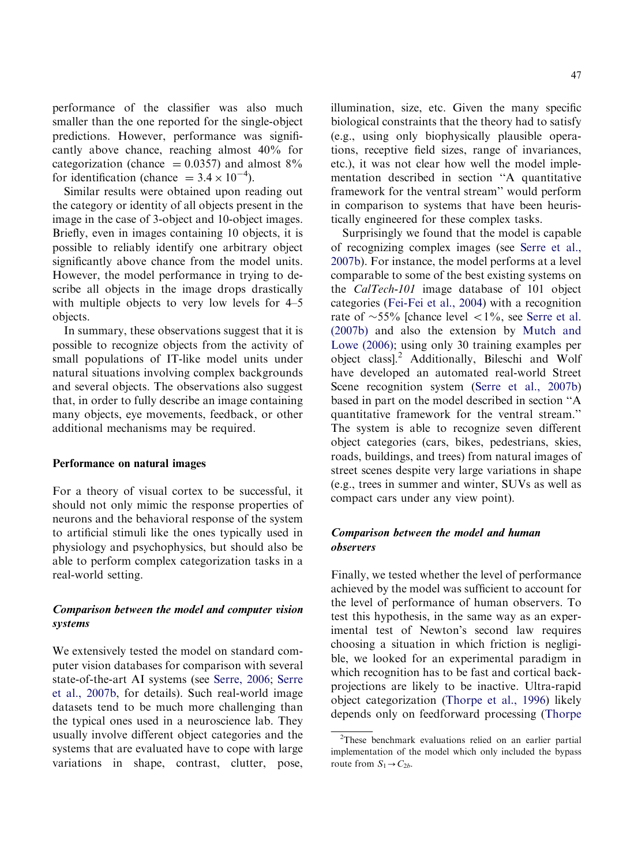performance of the classifier was also much smaller than the one reported for the single-object predictions. However, performance was significantly above chance, reaching almost 40% for categorization (chance  $= 0.0357$ ) and almost 8% for identification (chance  $= 3.4 \times 10^{-4}$ ).

Similar results were obtained upon reading out the category or identity of all objects present in the image in the case of 3-object and 10-object images. Briefly, even in images containing 10 objects, it is possible to reliably identify one arbitrary object significantly above chance from the model units. However, the model performance in trying to describe all objects in the image drops drastically with multiple objects to very low levels for  $4-5$ objects.

In summary, these observations suggest that it is possible to recognize objects from the activity of small populations of IT-like model units under natural situations involving complex backgrounds and several objects. The observations also suggest that, in order to fully describe an image containing many objects, eye movements, feedback, or other additional mechanisms may be required.

#### Performance on natural images

For a theory of visual cortex to be successful, it should not only mimic the response properties of neurons and the behavioral response of the system to artificial stimuli like the ones typically used in physiology and psychophysics, but should also be able to perform complex categorization tasks in a real-world setting.

## Comparison between the model and computer vision systems

We extensively tested the model on standard computer vision databases for comparison with several state-of-the-art AI systems (see [Serre, 2006;](#page-23-0) [Serre](#page-23-0) [et al., 2007b,](#page-23-0) for details). Such real-world image datasets tend to be much more challenging than the typical ones used in a neuroscience lab. They usually involve different object categories and the systems that are evaluated have to cope with large variations in shape, contrast, clutter, pose, illumination, size, etc. Given the many specific biological constraints that the theory had to satisfy (e.g., using only biophysically plausible operations, receptive field sizes, range of invariances, etc.), it was not clear how well the model implementation described in section ''A quantitative framework for the ventral stream'' would perform in comparison to systems that have been heuristically engineered for these complex tasks.

Surprisingly we found that the model is capable of recognizing complex images (see [Serre et al.,](#page-23-0) [2007b\)](#page-23-0). For instance, the model performs at a level comparable to some of the best existing systems on the CalTech-101 image database of 101 object categories ([Fei-Fei et al., 2004](#page-22-0)) with a recognition rate of  $\sim$ 55% [chance level  $\lt$ 1%, see [Serre et al.](#page-23-0) [\(2007b\)](#page-23-0) and also the extension by [Mutch and](#page-22-0) [Lowe \(2006\);](#page-22-0) using only 30 training examples per object class].<sup>2</sup> Additionally, Bileschi and Wolf have developed an automated real-world Street Scene recognition system [\(Serre et al., 2007b\)](#page-23-0) based in part on the model described in section ''A quantitative framework for the ventral stream.'' The system is able to recognize seven different object categories (cars, bikes, pedestrians, skies, roads, buildings, and trees) from natural images of street scenes despite very large variations in shape (e.g., trees in summer and winter, SUVs as well as compact cars under any view point).

## Comparison between the model and human observers

Finally, we tested whether the level of performance achieved by the model was sufficient to account for the level of performance of human observers. To test this hypothesis, in the same way as an experimental test of Newton's second law requires choosing a situation in which friction is negligible, we looked for an experimental paradigm in which recognition has to be fast and cortical backprojections are likely to be inactive. Ultra-rapid object categorization ([Thorpe et al., 1996](#page-23-0)) likely depends only on feedforward processing ([Thorpe](#page-23-0)

<sup>&</sup>lt;sup>2</sup>These benchmark evaluations relied on an earlier partial implementation of the model which only included the bypass route from  $S_1 \rightarrow C_{2b}$ .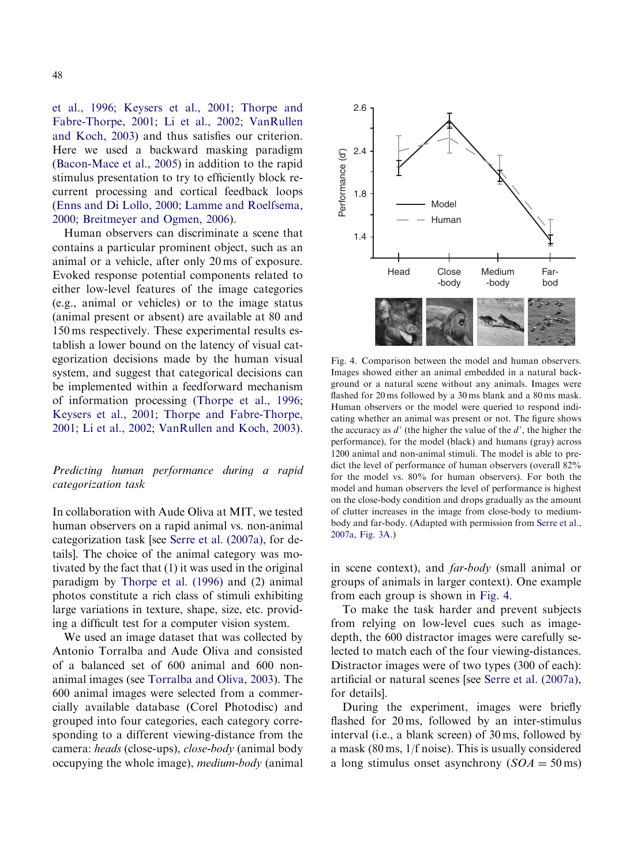<span id="page-15-0"></span>[et al., 1996;](#page-23-0) [Keysers et al., 2001](#page-22-0); [Thorpe and](#page-23-0) [Fabre-Thorpe, 2001;](#page-23-0) [Li et al., 2002](#page-22-0); [VanRullen](#page-23-0) [and Koch, 2003\)](#page-23-0) and thus satisfies our criterion. Here we used a backward masking paradigm [\(Bacon-Mace et al., 2005\)](#page-21-0) in addition to the rapid stimulus presentation to try to efficiently block recurrent processing and cortical feedback loops [\(Enns and Di Lollo, 2000](#page-22-0); [Lamme and Roelfsema,](#page-22-0) [2000;](#page-22-0) [Breitmeyer and Ogmen, 2006](#page-22-0)).

Human observers can discriminate a scene that contains a particular prominent object, such as an animal or a vehicle, after only 20 ms of exposure. Evoked response potential components related to either low-level features of the image categories (e.g., animal or vehicles) or to the image status (animal present or absent) are available at 80 and 150 ms respectively. These experimental results establish a lower bound on the latency of visual categorization decisions made by the human visual system, and suggest that categorical decisions can be implemented within a feedforward mechanism of information processing [\(Thorpe et al., 1996](#page-23-0); [Keysers et al., 2001](#page-22-0); [Thorpe and Fabre-Thorpe,](#page-23-0) [2001;](#page-23-0) [Li et al., 2002](#page-22-0); [VanRullen and Koch, 2003](#page-23-0)).

## Predicting human performance during a rapid categorization task

In collaboration with Aude Oliva at MIT, we tested human observers on a rapid animal vs. non-animal categorization task [see [Serre et al. \(2007a\),](#page-23-0) for details]. The choice of the animal category was motivated by the fact that (1) it was used in the original paradigm by [Thorpe et al. \(1996\)](#page-23-0) and (2) animal photos constitute a rich class of stimuli exhibiting large variations in texture, shape, size, etc. providing a difficult test for a computer vision system.

We used an image dataset that was collected by Antonio Torralba and Aude Oliva and consisted of a balanced set of 600 animal and 600 nonanimal images (see [Torralba and Oliva, 2003\)](#page-23-0). The 600 animal images were selected from a commercially available database (Corel Photodisc) and grouped into four categories, each category corresponding to a different viewing-distance from the camera: heads (close-ups), close-body (animal body occupying the whole image), medium-body (animal



Fig. 4. Comparison between the model and human observers. Images showed either an animal embedded in a natural background or a natural scene without any animals. Images were flashed for 20 ms followed by a 30 ms blank and a 80 ms mask. Human observers or the model were queried to respond indicating whether an animal was present or not. The figure shows the accuracy as  $d'$  (the higher the value of the  $d'$ , the higher the performance), for the model (black) and humans (gray) across 1200 animal and non-animal stimuli. The model is able to predict the level of performance of human observers (overall 82% for the model vs. 80% for human observers). For both the model and human observers the level of performance is highest on the close-body condition and drops gradually as the amount of clutter increases in the image from close-body to mediumbody and far-body. (Adapted with permission from [Serre et al.,](#page-23-0) [2007a,](#page-23-0) [Fig. 3A](#page-10-0).)

in scene context), and far-body (small animal or groups of animals in larger context). One example from each group is shown in Fig. 4.

To make the task harder and prevent subjects from relying on low-level cues such as imagedepth, the 600 distractor images were carefully selected to match each of the four viewing-distances. Distractor images were of two types (300 of each): artificial or natural scenes [see [Serre et al. \(2007a\),](#page-23-0) for details].

During the experiment, images were briefly flashed for 20 ms, followed by an inter-stimulus interval (i.e., a blank screen) of 30 ms, followed by a mask (80 ms, 1/f noise). This is usually considered a long stimulus onset asynchrony  $(SOA = 50 \text{ ms})$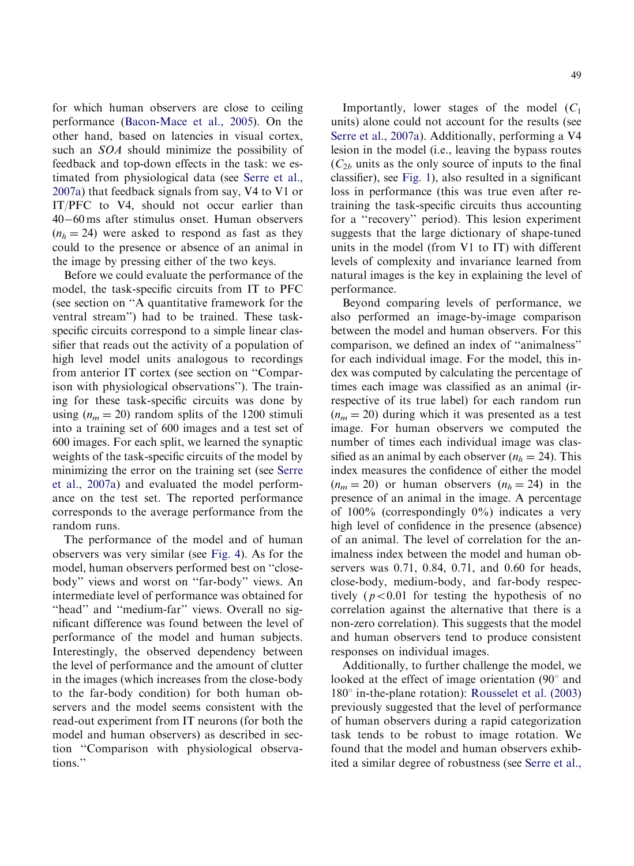for which human observers are close to ceiling performance [\(Bacon-Mace et al., 2005](#page-21-0)). On the other hand, based on latencies in visual cortex, such an SOA should minimize the possibility of feedback and top-down effects in the task: we estimated from physiological data (see [Serre et al.,](#page-23-0) [2007a\)](#page-23-0) that feedback signals from say, V4 to V1 or IT/PFC to V4, should not occur earlier than 40–60 ms after stimulus onset. Human observers  $(n_h = 24)$  were asked to respond as fast as they could to the presence or absence of an animal in the image by pressing either of the two keys.

Before we could evaluate the performance of the model, the task-specific circuits from IT to PFC (see section on ''A quantitative framework for the ventral stream'') had to be trained. These taskspecific circuits correspond to a simple linear classifier that reads out the activity of a population of high level model units analogous to recordings from anterior IT cortex (see section on ''Comparison with physiological observations''). The training for these task-specific circuits was done by using  $(n_m = 20)$  random splits of the 1200 stimuli into a training set of 600 images and a test set of 600 images. For each split, we learned the synaptic weights of the task-specific circuits of the model by minimizing the error on the training set (see [Serre](#page-23-0) [et al., 2007a\)](#page-23-0) and evaluated the model performance on the test set. The reported performance corresponds to the average performance from the random runs.

The performance of the model and of human observers was very similar (see [Fig. 4\)](#page-15-0). As for the model, human observers performed best on ''closebody'' views and worst on ''far-body'' views. An intermediate level of performance was obtained for "head" and "medium-far" views. Overall no significant difference was found between the level of performance of the model and human subjects. Interestingly, the observed dependency between the level of performance and the amount of clutter in the images (which increases from the close-body to the far-body condition) for both human observers and the model seems consistent with the read-out experiment from IT neurons (for both the model and human observers) as described in section ''Comparison with physiological observations.''

Importantly, lower stages of the model  $(C_1)$ units) alone could not account for the results (see [Serre et al., 2007a](#page-23-0)). Additionally, performing a V4 lesion in the model (i.e., leaving the bypass routes  $(C_{2b}$  units as the only source of inputs to the final classifier), see [Fig. 1](#page-5-0)), also resulted in a significant loss in performance (this was true even after retraining the task-specific circuits thus accounting for a ''recovery'' period). This lesion experiment suggests that the large dictionary of shape-tuned units in the model (from V1 to IT) with different levels of complexity and invariance learned from natural images is the key in explaining the level of performance.

Beyond comparing levels of performance, we also performed an image-by-image comparison between the model and human observers. For this comparison, we defined an index of ''animalness'' for each individual image. For the model, this index was computed by calculating the percentage of times each image was classified as an animal (irrespective of its true label) for each random run  $(n_m = 20)$  during which it was presented as a test image. For human observers we computed the number of times each individual image was classified as an animal by each observer  $(n_h = 24)$ . This index measures the confidence of either the model  $(n_m = 20)$  or human observers  $(n_h = 24)$  in the presence of an animal in the image. A percentage of  $100\%$  (correspondingly  $0\%$ ) indicates a very high level of confidence in the presence (absence) of an animal. The level of correlation for the animalness index between the model and human observers was 0.71, 0.84, 0.71, and 0.60 for heads, close-body, medium-body, and far-body respectively ( $p < 0.01$  for testing the hypothesis of no correlation against the alternative that there is a non-zero correlation). This suggests that the model and human observers tend to produce consistent responses on individual images.

Additionally, to further challenge the model, we looked at the effect of image orientation  $(90^{\circ}$  and  $180^\circ$  in-the-plane rotation): [Rousselet et al. \(2003\)](#page-23-0) previously suggested that the level of performance of human observers during a rapid categorization task tends to be robust to image rotation. We found that the model and human observers exhibited a similar degree of robustness (see [Serre et al.,](#page-23-0)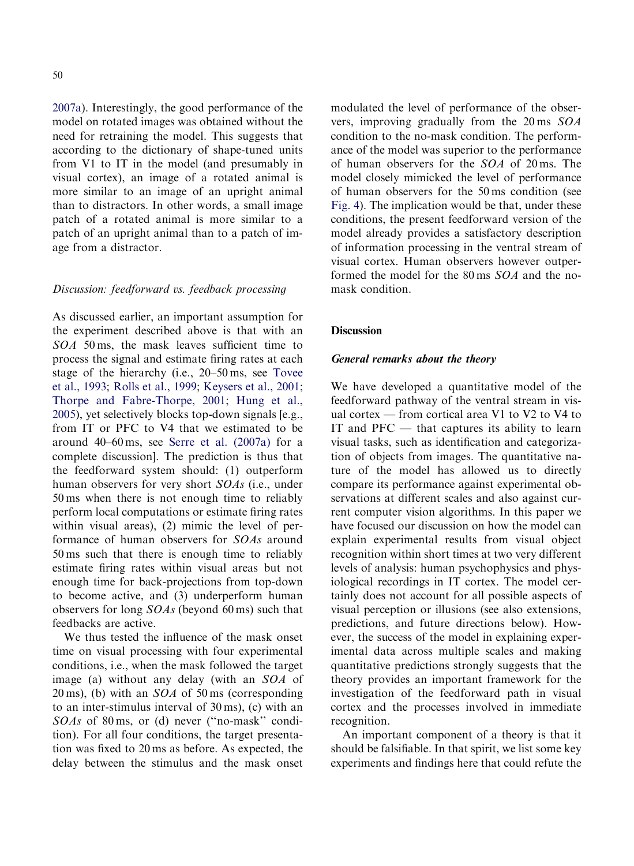[2007a\)](#page-23-0). Interestingly, the good performance of the model on rotated images was obtained without the need for retraining the model. This suggests that according to the dictionary of shape-tuned units from V1 to IT in the model (and presumably in visual cortex), an image of a rotated animal is more similar to an image of an upright animal than to distractors. In other words, a small image patch of a rotated animal is more similar to a patch of an upright animal than to a patch of image from a distractor.

## Discussion: feedforward vs. feedback processing

As discussed earlier, an important assumption for the experiment described above is that with an SOA 50 ms, the mask leaves sufficient time to process the signal and estimate firing rates at each stage of the hierarchy (i.e., 20–50 ms, see [Tovee](#page-23-0) [et al., 1993;](#page-23-0) [Rolls et al., 1999](#page-23-0); [Keysers et al., 2001](#page-22-0); [Thorpe and Fabre-Thorpe, 2001;](#page-23-0) [Hung et al.,](#page-22-0) [2005\)](#page-22-0), yet selectively blocks top-down signals [e.g., from IT or PFC to V4 that we estimated to be around 40–60 ms, see [Serre et al. \(2007a\)](#page-23-0) for a complete discussion]. The prediction is thus that the feedforward system should: (1) outperform human observers for very short SOAs (i.e., under 50 ms when there is not enough time to reliably perform local computations or estimate firing rates within visual areas), (2) mimic the level of performance of human observers for SOAs around 50 ms such that there is enough time to reliably estimate firing rates within visual areas but not enough time for back-projections from top-down to become active, and (3) underperform human observers for long SOAs (beyond 60 ms) such that feedbacks are active.

We thus tested the influence of the mask onset time on visual processing with four experimental conditions, i.e., when the mask followed the target image (a) without any delay (with an SOA of 20 ms), (b) with an  $SOA$  of 50 ms (corresponding to an inter-stimulus interval of 30 ms), (c) with an SOAs of 80 ms, or (d) never ("no-mask" condition). For all four conditions, the target presentation was fixed to 20 ms as before. As expected, the delay between the stimulus and the mask onset modulated the level of performance of the observers, improving gradually from the 20 ms SOA condition to the no-mask condition. The performance of the model was superior to the performance of human observers for the SOA of 20 ms. The model closely mimicked the level of performance of human observers for the 50 ms condition (see [Fig. 4\)](#page-15-0). The implication would be that, under these conditions, the present feedforward version of the model already provides a satisfactory description of information processing in the ventral stream of visual cortex. Human observers however outperformed the model for the 80 ms SOA and the nomask condition.

#### **Discussion**

#### General remarks about the theory

We have developed a quantitative model of the feedforward pathway of the ventral stream in visual cortex — from cortical area V1 to V2 to V4 to IT and PFC — that captures its ability to learn visual tasks, such as identification and categorization of objects from images. The quantitative nature of the model has allowed us to directly compare its performance against experimental observations at different scales and also against current computer vision algorithms. In this paper we have focused our discussion on how the model can explain experimental results from visual object recognition within short times at two very different levels of analysis: human psychophysics and physiological recordings in IT cortex. The model certainly does not account for all possible aspects of visual perception or illusions (see also extensions, predictions, and future directions below). However, the success of the model in explaining experimental data across multiple scales and making quantitative predictions strongly suggests that the theory provides an important framework for the investigation of the feedforward path in visual cortex and the processes involved in immediate recognition.

An important component of a theory is that it should be falsifiable. In that spirit, we list some key experiments and findings here that could refute the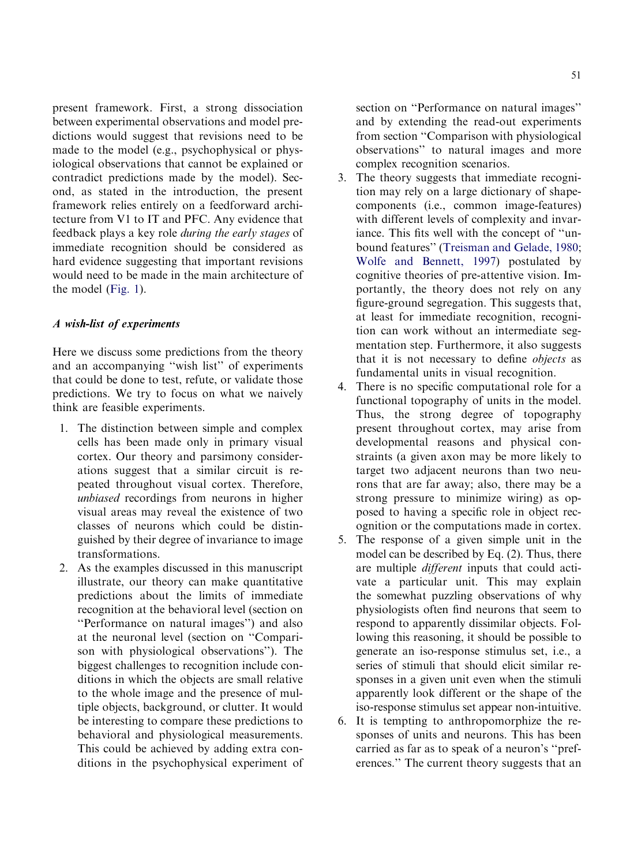present framework. First, a strong dissociation between experimental observations and model predictions would suggest that revisions need to be made to the model (e.g., psychophysical or physiological observations that cannot be explained or contradict predictions made by the model). Second, as stated in the introduction, the present framework relies entirely on a feedforward architecture from V1 to IT and PFC. Any evidence that feedback plays a key role during the early stages of immediate recognition should be considered as hard evidence suggesting that important revisions would need to be made in the main architecture of the model [\(Fig. 1\)](#page-5-0).

## A wish-list of experiments

Here we discuss some predictions from the theory and an accompanying ''wish list'' of experiments that could be done to test, refute, or validate those predictions. We try to focus on what we naively think are feasible experiments.

- 1. The distinction between simple and complex cells has been made only in primary visual cortex. Our theory and parsimony considerations suggest that a similar circuit is repeated throughout visual cortex. Therefore, unbiased recordings from neurons in higher visual areas may reveal the existence of two classes of neurons which could be distinguished by their degree of invariance to image transformations.
- 2. As the examples discussed in this manuscript illustrate, our theory can make quantitative predictions about the limits of immediate recognition at the behavioral level (section on ''Performance on natural images'') and also at the neuronal level (section on ''Comparison with physiological observations''). The biggest challenges to recognition include conditions in which the objects are small relative to the whole image and the presence of multiple objects, background, or clutter. It would be interesting to compare these predictions to behavioral and physiological measurements. This could be achieved by adding extra conditions in the psychophysical experiment of

section on "Performance on natural images" and by extending the read-out experiments from section ''Comparison with physiological observations'' to natural images and more complex recognition scenarios.

- 3. The theory suggests that immediate recognition may rely on a large dictionary of shapecomponents (i.e., common image-features) with different levels of complexity and invariance. This fits well with the concept of ''unbound features'' [\(Treisman and Gelade, 1980;](#page-23-0) [Wolfe and Bennett, 1997\)](#page-23-0) postulated by cognitive theories of pre-attentive vision. Importantly, the theory does not rely on any figure-ground segregation. This suggests that, at least for immediate recognition, recognition can work without an intermediate segmentation step. Furthermore, it also suggests that it is not necessary to define *objects* as fundamental units in visual recognition.
- 4. There is no specific computational role for a functional topography of units in the model. Thus, the strong degree of topography present throughout cortex, may arise from developmental reasons and physical constraints (a given axon may be more likely to target two adjacent neurons than two neurons that are far away; also, there may be a strong pressure to minimize wiring) as opposed to having a specific role in object recognition or the computations made in cortex.
- 5. The response of a given simple unit in the model can be described by Eq. (2). Thus, there are multiple *different* inputs that could activate a particular unit. This may explain the somewhat puzzling observations of why physiologists often find neurons that seem to respond to apparently dissimilar objects. Following this reasoning, it should be possible to generate an iso-response stimulus set, i.e., a series of stimuli that should elicit similar responses in a given unit even when the stimuli apparently look different or the shape of the iso-response stimulus set appear non-intuitive.
- 6. It is tempting to anthropomorphize the responses of units and neurons. This has been carried as far as to speak of a neuron's ''preferences.'' The current theory suggests that an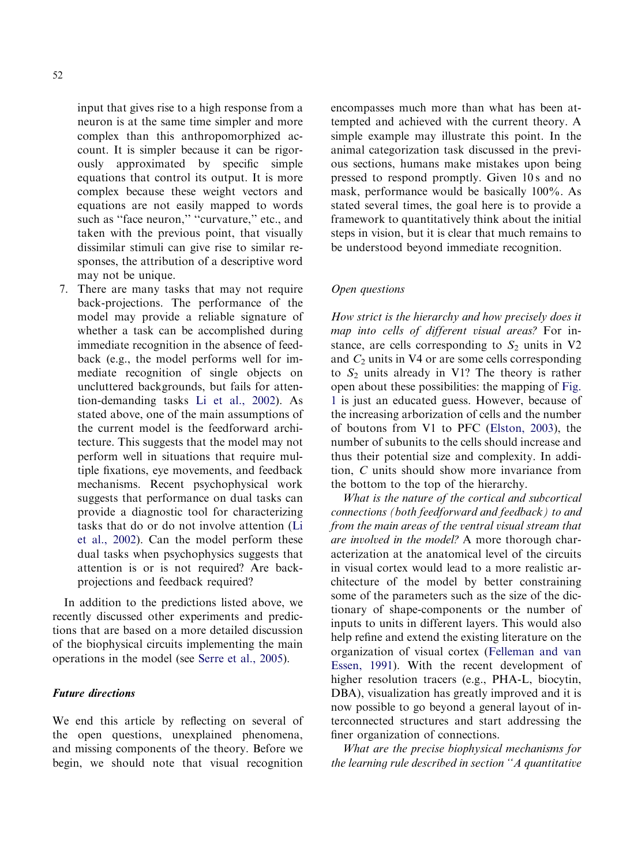input that gives rise to a high response from a neuron is at the same time simpler and more complex than this anthropomorphized account. It is simpler because it can be rigorously approximated by specific simple equations that control its output. It is more complex because these weight vectors and equations are not easily mapped to words such as "face neuron," "curvature," etc., and taken with the previous point, that visually dissimilar stimuli can give rise to similar responses, the attribution of a descriptive word may not be unique.

7. There are many tasks that may not require back-projections. The performance of the model may provide a reliable signature of whether a task can be accomplished during immediate recognition in the absence of feedback (e.g., the model performs well for immediate recognition of single objects on uncluttered backgrounds, but fails for attention-demanding tasks [Li et al., 2002](#page-22-0)). As stated above, one of the main assumptions of the current model is the feedforward architecture. This suggests that the model may not perform well in situations that require multiple fixations, eye movements, and feedback mechanisms. Recent psychophysical work suggests that performance on dual tasks can provide a diagnostic tool for characterizing tasks that do or do not involve attention ([Li](#page-22-0) [et al., 2002\)](#page-22-0). Can the model perform these dual tasks when psychophysics suggests that attention is or is not required? Are backprojections and feedback required?

In addition to the predictions listed above, we recently discussed other experiments and predictions that are based on a more detailed discussion of the biophysical circuits implementing the main operations in the model (see [Serre et al., 2005\)](#page-23-0).

#### Future directions

We end this article by reflecting on several of the open questions, unexplained phenomena, and missing components of the theory. Before we begin, we should note that visual recognition encompasses much more than what has been attempted and achieved with the current theory. A simple example may illustrate this point. In the animal categorization task discussed in the previous sections, humans make mistakes upon being pressed to respond promptly. Given 10 s and no mask, performance would be basically 100%. As stated several times, the goal here is to provide a framework to quantitatively think about the initial steps in vision, but it is clear that much remains to be understood beyond immediate recognition.

## Open questions

How strict is the hierarchy and how precisely does it map into cells of different visual areas? For instance, are cells corresponding to  $S_2$  units in V2 and  $C_2$  units in V4 or are some cells corresponding to  $S_2$  units already in V1? The theory is rather open about these possibilities: the mapping of [Fig.](#page-5-0) [1](#page-5-0) is just an educated guess. However, because of the increasing arborization of cells and the number of boutons from V1 to PFC ([Elston, 2003](#page-22-0)), the number of subunits to the cells should increase and thus their potential size and complexity. In addition, C units should show more invariance from the bottom to the top of the hierarchy.

What is the nature of the cortical and subcortical connections (both feedforward and feedback) to and from the main areas of the ventral visual stream that are involved in the model? A more thorough characterization at the anatomical level of the circuits in visual cortex would lead to a more realistic architecture of the model by better constraining some of the parameters such as the size of the dictionary of shape-components or the number of inputs to units in different layers. This would also help refine and extend the existing literature on the organization of visual cortex [\(Felleman and van](#page-22-0) [Essen, 1991](#page-22-0)). With the recent development of higher resolution tracers (e.g., PHA-L, biocytin, DBA), visualization has greatly improved and it is now possible to go beyond a general layout of interconnected structures and start addressing the finer organization of connections.

What are the precise biophysical mechanisms for the learning rule described in section ''A quantitative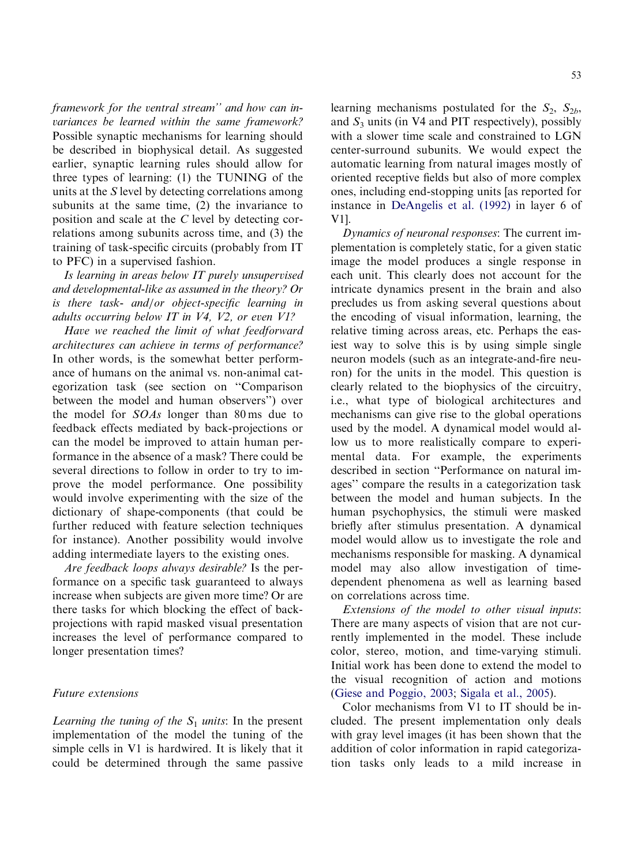framework for the ventral stream'' and how can invariances be learned within the same framework? Possible synaptic mechanisms for learning should be described in biophysical detail. As suggested earlier, synaptic learning rules should allow for three types of learning: (1) the TUNING of the units at the S level by detecting correlations among subunits at the same time, (2) the invariance to position and scale at the C level by detecting correlations among subunits across time, and (3) the training of task-specific circuits (probably from IT to PFC) in a supervised fashion.

Is learning in areas below IT purely unsupervised and developmental-like as assumed in the theory? Or is there task- and/or object-specific learning in adults occurring below IT in V4, V2, or even V1?

Have we reached the limit of what feedforward architectures can achieve in terms of performance? In other words, is the somewhat better performance of humans on the animal vs. non-animal categorization task (see section on ''Comparison between the model and human observers'') over the model for SOAs longer than 80 ms due to feedback effects mediated by back-projections or can the model be improved to attain human performance in the absence of a mask? There could be several directions to follow in order to try to improve the model performance. One possibility would involve experimenting with the size of the dictionary of shape-components (that could be further reduced with feature selection techniques for instance). Another possibility would involve adding intermediate layers to the existing ones.

Are feedback loops always desirable? Is the performance on a specific task guaranteed to always increase when subjects are given more time? Or are there tasks for which blocking the effect of backprojections with rapid masked visual presentation increases the level of performance compared to longer presentation times?

## Future extensions

Learning the tuning of the  $S_1$  units: In the present implementation of the model the tuning of the simple cells in V1 is hardwired. It is likely that it could be determined through the same passive learning mechanisms postulated for the  $S_2$ ,  $S_{2b}$ , and  $S_3$  units (in V4 and PIT respectively), possibly with a slower time scale and constrained to LGN center-surround subunits. We would expect the automatic learning from natural images mostly of oriented receptive fields but also of more complex ones, including end-stopping units [as reported for instance in [DeAngelis et al. \(1992\)](#page-22-0) in layer 6 of V1].

Dynamics of neuronal responses: The current implementation is completely static, for a given static image the model produces a single response in each unit. This clearly does not account for the intricate dynamics present in the brain and also precludes us from asking several questions about the encoding of visual information, learning, the relative timing across areas, etc. Perhaps the easiest way to solve this is by using simple single neuron models (such as an integrate-and-fire neuron) for the units in the model. This question is clearly related to the biophysics of the circuitry, i.e., what type of biological architectures and mechanisms can give rise to the global operations used by the model. A dynamical model would allow us to more realistically compare to experimental data. For example, the experiments described in section ''Performance on natural images'' compare the results in a categorization task between the model and human subjects. In the human psychophysics, the stimuli were masked briefly after stimulus presentation. A dynamical model would allow us to investigate the role and mechanisms responsible for masking. A dynamical model may also allow investigation of timedependent phenomena as well as learning based on correlations across time.

Extensions of the model to other visual inputs: There are many aspects of vision that are not currently implemented in the model. These include color, stereo, motion, and time-varying stimuli. Initial work has been done to extend the model to the visual recognition of action and motions [\(Giese and Poggio, 2003](#page-22-0); [Sigala et al., 2005\)](#page-23-0).

Color mechanisms from V1 to IT should be included. The present implementation only deals with gray level images (it has been shown that the addition of color information in rapid categorization tasks only leads to a mild increase in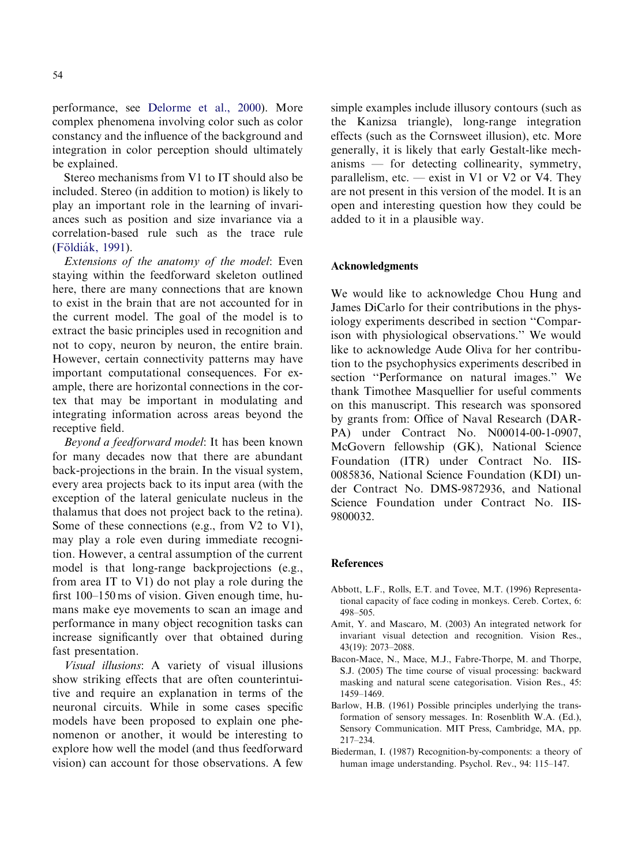<span id="page-21-0"></span>performance, see [Delorme et al., 2000](#page-22-0)). More complex phenomena involving color such as color constancy and the influence of the background and integration in color perception should ultimately be explained.

Stereo mechanisms from V1 to IT should also be included. Stereo (in addition to motion) is likely to play an important role in the learning of invariances such as position and size invariance via a correlation-based rule such as the trace rule (Földiák, 1991).

Extensions of the anatomy of the model: Even staying within the feedforward skeleton outlined here, there are many connections that are known to exist in the brain that are not accounted for in the current model. The goal of the model is to extract the basic principles used in recognition and not to copy, neuron by neuron, the entire brain. However, certain connectivity patterns may have important computational consequences. For example, there are horizontal connections in the cortex that may be important in modulating and integrating information across areas beyond the receptive field.

Beyond a feedforward model: It has been known for many decades now that there are abundant back-projections in the brain. In the visual system, every area projects back to its input area (with the exception of the lateral geniculate nucleus in the thalamus that does not project back to the retina). Some of these connections (e.g., from V2 to V1), may play a role even during immediate recognition. However, a central assumption of the current model is that long-range backprojections (e.g., from area IT to V1) do not play a role during the first 100–150 ms of vision. Given enough time, humans make eye movements to scan an image and performance in many object recognition tasks can increase significantly over that obtained during fast presentation.

Visual illusions: A variety of visual illusions show striking effects that are often counterintuitive and require an explanation in terms of the neuronal circuits. While in some cases specific models have been proposed to explain one phenomenon or another, it would be interesting to explore how well the model (and thus feedforward vision) can account for those observations. A few simple examples include illusory contours (such as the Kanizsa triangle), long-range integration effects (such as the Cornsweet illusion), etc. More generally, it is likely that early Gestalt-like mechanisms — for detecting collinearity, symmetry, parallelism, etc. — exist in V1 or V2 or V4. They are not present in this version of the model. It is an open and interesting question how they could be added to it in a plausible way.

#### Acknowledgments

We would like to acknowledge Chou Hung and James DiCarlo for their contributions in the physiology experiments described in section ''Comparison with physiological observations.'' We would like to acknowledge Aude Oliva for her contribution to the psychophysics experiments described in section ''Performance on natural images.'' We thank Timothee Masquellier for useful comments on this manuscript. This research was sponsored by grants from: Office of Naval Research (DAR-PA) under Contract No. N00014-00-1-0907, McGovern fellowship (GK), National Science Foundation (ITR) under Contract No. IIS-0085836, National Science Foundation (KDI) under Contract No. DMS-9872936, and National Science Foundation under Contract No. IIS-9800032.

#### References

- Abbott, L.F., Rolls, E.T. and Tovee, M.T. (1996) Representational capacity of face coding in monkeys. Cereb. Cortex, 6: 498–505.
- Amit, Y. and Mascaro, M. (2003) An integrated network for invariant visual detection and recognition. Vision Res., 43(19): 2073–2088.
- Bacon-Mace, N., Mace, M.J., Fabre-Thorpe, M. and Thorpe, S.J. (2005) The time course of visual processing: backward masking and natural scene categorisation. Vision Res., 45: 1459–1469.
- Barlow, H.B. (1961) Possible principles underlying the transformation of sensory messages. In: Rosenblith W.A. (Ed.), Sensory Communication. MIT Press, Cambridge, MA, pp. 217–234.
- Biederman, I. (1987) Recognition-by-components: a theory of human image understanding. Psychol. Rev., 94: 115–147.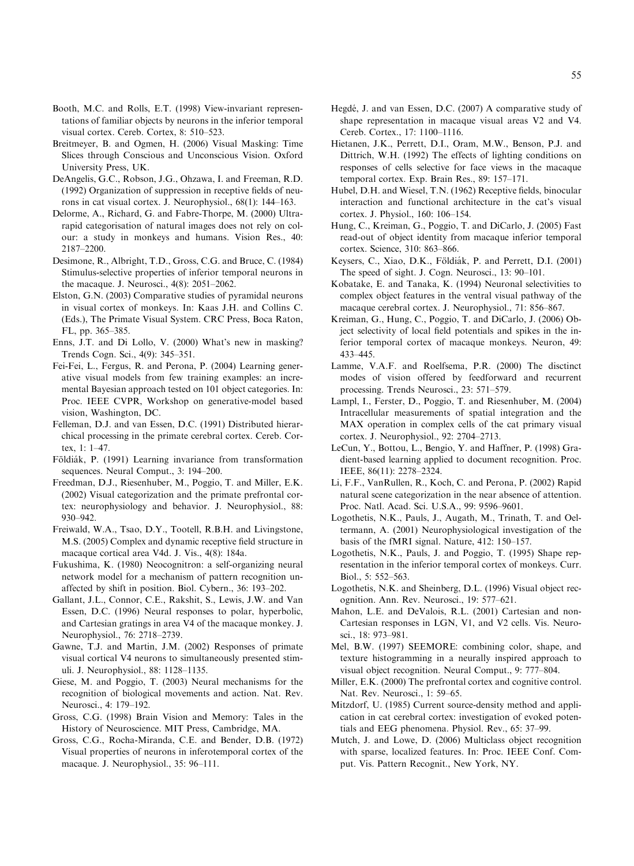- <span id="page-22-0"></span>Booth, M.C. and Rolls, E.T. (1998) View-invariant representations of familiar objects by neurons in the inferior temporal visual cortex. Cereb. Cortex, 8: 510–523.
- Breitmeyer, B. and Ogmen, H. (2006) Visual Masking: Time Slices through Conscious and Unconscious Vision. Oxford University Press, UK.
- DeAngelis, G.C., Robson, J.G., Ohzawa, I. and Freeman, R.D. (1992) Organization of suppression in receptive fields of neurons in cat visual cortex. J. Neurophysiol., 68(1): 144–163.
- Delorme, A., Richard, G. and Fabre-Thorpe, M. (2000) Ultrarapid categorisation of natural images does not rely on colour: a study in monkeys and humans. Vision Res., 40: 2187–2200.
- Desimone, R., Albright, T.D., Gross, C.G. and Bruce, C. (1984) Stimulus-selective properties of inferior temporal neurons in the macaque. J. Neurosci., 4(8): 2051–2062.
- Elston, G.N. (2003) Comparative studies of pyramidal neurons in visual cortex of monkeys. In: Kaas J.H. and Collins C. (Eds.), The Primate Visual System. CRC Press, Boca Raton, FL, pp. 365–385.
- Enns, J.T. and Di Lollo, V. (2000) What's new in masking? Trends Cogn. Sci., 4(9): 345–351.
- Fei-Fei, L., Fergus, R. and Perona, P. (2004) Learning generative visual models from few training examples: an incremental Bayesian approach tested on 101 object categories. In: Proc. IEEE CVPR, Workshop on generative-model based vision, Washington, DC.
- Felleman, D.J. and van Essen, D.C. (1991) Distributed hierarchical processing in the primate cerebral cortex. Cereb. Cortex, 1: 1–47.
- Földiák, P. (1991) Learning invariance from transformation sequences. Neural Comput., 3: 194–200.
- Freedman, D.J., Riesenhuber, M., Poggio, T. and Miller, E.K. (2002) Visual categorization and the primate prefrontal cortex: neurophysiology and behavior. J. Neurophysiol., 88: 930–942.
- Freiwald, W.A., Tsao, D.Y., Tootell, R.B.H. and Livingstone, M.S. (2005) Complex and dynamic receptive field structure in macaque cortical area V4d. J. Vis., 4(8): 184a.
- Fukushima, K. (1980) Neocognitron: a self-organizing neural network model for a mechanism of pattern recognition unaffected by shift in position. Biol. Cybern., 36: 193–202.
- Gallant, J.L., Connor, C.E., Rakshit, S., Lewis, J.W. and Van Essen, D.C. (1996) Neural responses to polar, hyperbolic, and Cartesian gratings in area V4 of the macaque monkey. J. Neurophysiol., 76: 2718–2739.
- Gawne, T.J. and Martin, J.M. (2002) Responses of primate visual cortical V4 neurons to simultaneously presented stimuli. J. Neurophysiol., 88: 1128–1135.
- Giese, M. and Poggio, T. (2003) Neural mechanisms for the recognition of biological movements and action. Nat. Rev. Neurosci., 4: 179–192.
- Gross, C.G. (1998) Brain Vision and Memory: Tales in the History of Neuroscience. MIT Press, Cambridge, MA.
- Gross, C.G., Rocha-Miranda, C.E. and Bender, D.B. (1972) Visual properties of neurons in inferotemporal cortex of the macaque. J. Neurophysiol., 35: 96–111.
- Hegdé, J. and van Essen, D.C. (2007) A comparative study of shape representation in macaque visual areas V2 and V4. Cereb. Cortex., 17: 1100–1116.
- Hietanen, J.K., Perrett, D.I., Oram, M.W., Benson, P.J. and Dittrich, W.H. (1992) The effects of lighting conditions on responses of cells selective for face views in the macaque temporal cortex. Exp. Brain Res., 89: 157–171.
- Hubel, D.H. and Wiesel, T.N. (1962) Receptive fields, binocular interaction and functional architecture in the cat's visual cortex. J. Physiol., 160: 106–154.
- Hung, C., Kreiman, G., Poggio, T. and DiCarlo, J. (2005) Fast read-out of object identity from macaque inferior temporal cortex. Science, 310: 863–866.
- Keysers, C., Xiao, D.K., Földiák, P. and Perrett, D.I. (2001) The speed of sight. J. Cogn. Neurosci., 13: 90–101.
- Kobatake, E. and Tanaka, K. (1994) Neuronal selectivities to complex object features in the ventral visual pathway of the macaque cerebral cortex. J. Neurophysiol., 71: 856–867.
- Kreiman, G., Hung, C., Poggio, T. and DiCarlo, J. (2006) Object selectivity of local field potentials and spikes in the inferior temporal cortex of macaque monkeys. Neuron, 49: 433–445.
- Lamme, V.A.F. and Roelfsema, P.R. (2000) The disctinct modes of vision offered by feedforward and recurrent processing. Trends Neurosci., 23: 571–579.
- Lampl, I., Ferster, D., Poggio, T. and Riesenhuber, M. (2004) Intracellular measurements of spatial integration and the MAX operation in complex cells of the cat primary visual cortex. J. Neurophysiol., 92: 2704–2713.
- LeCun, Y., Bottou, L., Bengio, Y. and Haffner, P. (1998) Gradient-based learning applied to document recognition. Proc. IEEE, 86(11): 2278–2324.
- Li, F.F., VanRullen, R., Koch, C. and Perona, P. (2002) Rapid natural scene categorization in the near absence of attention. Proc. Natl. Acad. Sci. U.S.A., 99: 9596–9601.
- Logothetis, N.K., Pauls, J., Augath, M., Trinath, T. and Oeltermann, A. (2001) Neurophysiological investigation of the basis of the fMRI signal. Nature, 412: 150–157.
- Logothetis, N.K., Pauls, J. and Poggio, T. (1995) Shape representation in the inferior temporal cortex of monkeys. Curr. Biol., 5: 552–563.
- Logothetis, N.K. and Sheinberg, D.L. (1996) Visual object recognition. Ann. Rev. Neurosci., 19: 577–621.
- Mahon, L.E. and DeValois, R.L. (2001) Cartesian and non-Cartesian responses in LGN, V1, and V2 cells. Vis. Neurosci., 18: 973–981.
- Mel, B.W. (1997) SEEMORE: combining color, shape, and texture histogramming in a neurally inspired approach to visual object recognition. Neural Comput., 9: 777–804.
- Miller, E.K. (2000) The prefrontal cortex and cognitive control. Nat. Rev. Neurosci., 1: 59–65.
- Mitzdorf, U. (1985) Current source-density method and application in cat cerebral cortex: investigation of evoked potentials and EEG phenomena. Physiol. Rev., 65: 37–99.
- Mutch, J. and Lowe, D. (2006) Multiclass object recognition with sparse, localized features. In: Proc. IEEE Conf. Comput. Vis. Pattern Recognit., New York, NY.